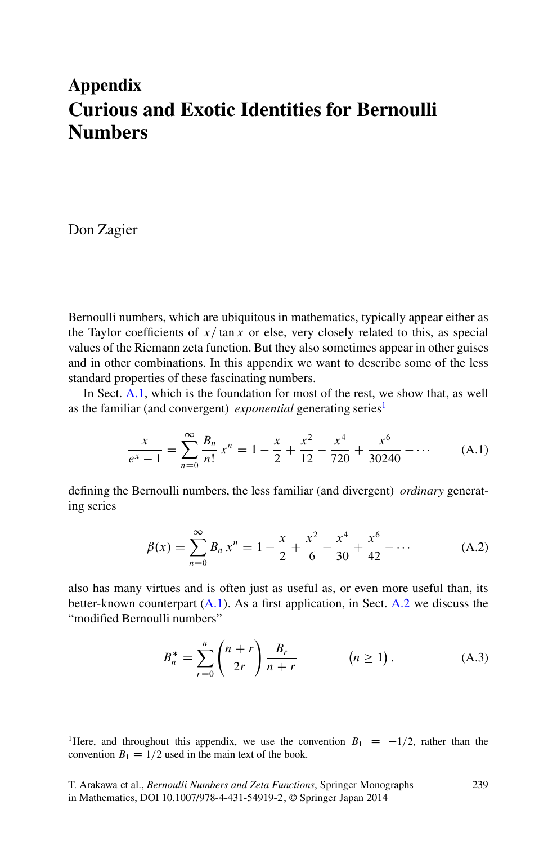# <span id="page-0-0"></span>**Appendix Curious and Exotic Identities for Bernoulli Numbers**

Don Zagier

Bernoulli numbers, which are ubiquitous in mathematics, typically appear either as the Taylor coefficients of  $x/\tan x$  or else, very closely related to this, as special values of the Riemann zeta function. But they also sometimes appear in other guises and in other combinations. In this appendix we want to describe some of the less standard properties of these fascinating numbers.

In Sect. [A.1,](#page-1-0) which is the foundation for most of the rest, we show that, as well as the familiar (and convergent) *exponential* generating series<sup>1</sup>

$$
\frac{x}{e^x - 1} = \sum_{n=0}^{\infty} \frac{B_n}{n!} x^n = 1 - \frac{x}{2} + \frac{x^2}{12} - \frac{x^4}{720} + \frac{x^6}{30240} - \dotsb
$$
 (A.1)

defining the Bernoulli numbers, the less familiar (and divergent) *ordinary* generating series

$$
\beta(x) = \sum_{n=0}^{\infty} B_n x^n = 1 - \frac{x}{2} + \frac{x^2}{6} - \frac{x^4}{30} + \frac{x^6}{42} - \dots
$$
 (A.2)

also has many virtues and is often just as useful as, or even more useful than, its better-known counterpart (A.1). As a first application, in Sect. [A.2](#page-5-0) we discuss the "modified Bernoulli numbers"

$$
B_n^* = \sum_{r=0}^n \binom{n+r}{2r} \frac{B_r}{n+r} \qquad (n \ge 1).
$$
 (A.3)

<sup>&</sup>lt;sup>1</sup>Here, and throughout this appendix, we use the convention  $B_1 = -1/2$ , rather than the convention  $B_2 = 1/2$  used in the main text of the book convention  $B_1 = 1/2$  used in the main text of the book.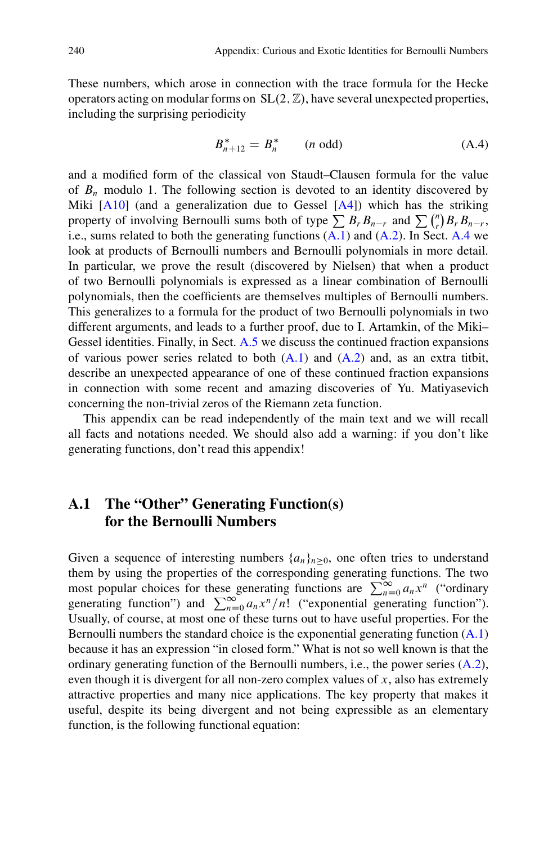<span id="page-1-0"></span>These numbers, which arose in connection with the trace formula for the Hecke operators acting on modular forms on  $SL(2, \mathbb{Z})$ , have several unexpected properties, including the surprising periodicity

$$
B_{n+12}^* = B_n^* \t (n \text{ odd}) \t (A.4)
$$

and a modified form of the classical von Staudt–Clausen formula for the value of  $B_n$  modulo 1. The following section is devoted to an identity discovered by Miki  $[A10]$  (and a generalization due to Gessel  $[A4]$ ) which has the striking property of involving Bernoulli sums both of type  $\sum B_r B_{n-r}$  and  $\sum {n \choose r} B_r B_{n-r}$ , i.e., sums related to both the generating functions [\(A.1\)](#page-0-0) and [\(A.2\)](#page-0-0). In Sect. [A.4](#page-10-0) we look at products of Bernoulli numbers and Bernoulli polynomials in more detail. In particular, we prove the result (discovered by Nielsen) that when a product of two Bernoulli polynomials is expressed as a linear combination of Bernoulli polynomials, then the coefficients are themselves multiples of Bernoulli numbers. This generalizes to a formula for the product of two Bernoulli polynomials in two different arguments, and leads to a further proof, due to I. Artamkin, of the Miki– Gessel identities. Finally, in Sect. [A.5](#page-17-0) we discuss the continued fraction expansions of various power series related to both  $(A.1)$  and  $(A.2)$  and, as an extra titbit, describe an unexpected appearance of one of these continued fraction expansions in connection with some recent and amazing discoveries of Yu. Matiyasevich concerning the non-trivial zeros of the Riemann zeta function.

This appendix can be read independently of the main text and we will recall all facts and notations needed. We should also add a warning: if you don't like generating functions, don't read this appendix!

## **A.1 The "Other" Generating Function(s) for the Bernoulli Numbers**

Given a sequence of interesting numbers  $\{a_n\}_{n\geq0}$ , one often tries to understand them by using the properties of the corresponding generating functions. The two most popular choices for these generating functions are  $\sum_{n=0}^{\infty} a_n x^n$  ("ordinary<br>generating function") and  $\sum_{n=0}^{\infty} a_n x^n / n!$  ("exponential generating function") generating function") and  $\sum_{n=0}^{\infty} a_n x^n/n!$  ("exponential generating function").<br>Henally of course at most one of these turns out to have useful properties. For the Usually, of course, at most one of these turns out to have useful properties. For the Bernoulli numbers the standard choice is the exponential generating function [\(A.1\)](#page-0-0) because it has an expression "in closed form." What is not so well known is that the ordinary generating function of the Bernoulli numbers, i.e., the power series [\(A.2\)](#page-0-0), even though it is divergent for all non-zero complex values of  $x$ , also has extremely attractive properties and many nice applications. The key property that makes it useful, despite its being divergent and not being expressible as an elementary function, is the following functional equation: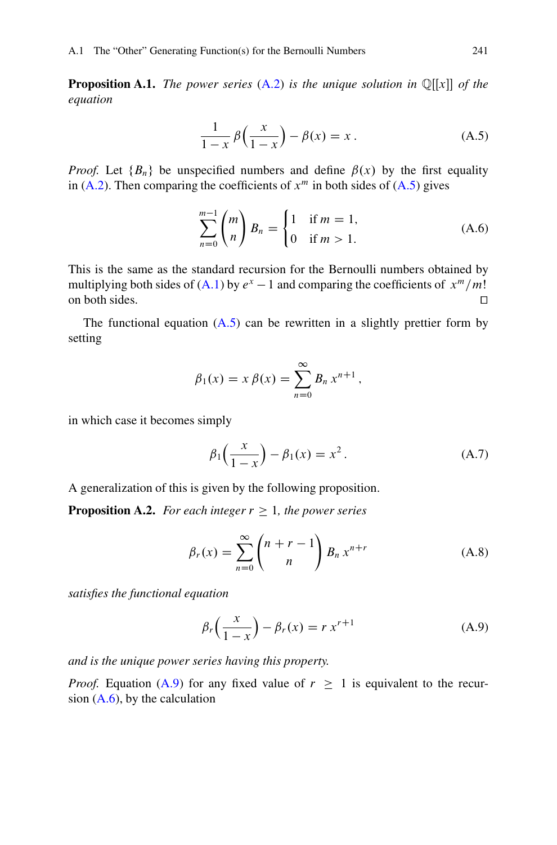<span id="page-2-0"></span>**Proposition A.1.** *The power series*  $(A.2)$  *is the unique solution in*  $\mathbb{Q}[[x]]$  *of the equation*

$$
\frac{1}{1-x}\beta\left(\frac{x}{1-x}\right) - \beta(x) = x.
$$
 (A.5)

*Proof.* Let  ${B_n}$  be unspecified numbers and define  $\beta(x)$  by the first equality in [\(A.2\)](#page-0-0). Then comparing the coefficients of  $x^m$  in both sides of (A.5) gives

$$
\sum_{n=0}^{m-1} {m \choose n} B_n = \begin{cases} 1 & \text{if } m = 1, \\ 0 & \text{if } m > 1. \end{cases}
$$
 (A.6)

This is the same as the standard recursion for the Bernoulli numbers obtained by multiplying both sides of [\(A.1\)](#page-0-0) by  $e^x - 1$  and comparing the coefficients of  $x^m/m!$ <br>on both sides. on both sides.  $\Box$ 

The functional equation  $(A.5)$  can be rewritten in a slightly prettier form by setting

$$
\beta_1(x) = x \beta(x) = \sum_{n=0}^{\infty} B_n x^{n+1},
$$

in which case it becomes simply

$$
\beta_1\left(\frac{x}{1-x}\right) - \beta_1(x) = x^2.
$$
 (A.7)

A generalization of this is given by the following proposition.

**Proposition A.2.** *For each integer*  $r \geq 1$ *, the power series* 

$$
\beta_r(x) = \sum_{n=0}^{\infty} {n+r-1 \choose n} B_n x^{n+r}
$$
\n(A.8)

*satisfies the functional equation*

$$
\beta_r\left(\frac{x}{1-x}\right) - \beta_r(x) = r x^{r+1}
$$
\n(A.9)

*and is the unique power series having this property.*

*Proof.* Equation (A.9) for any fixed value of  $r \geq 1$  is equivalent to the recursion  $(A.6)$ , by the calculation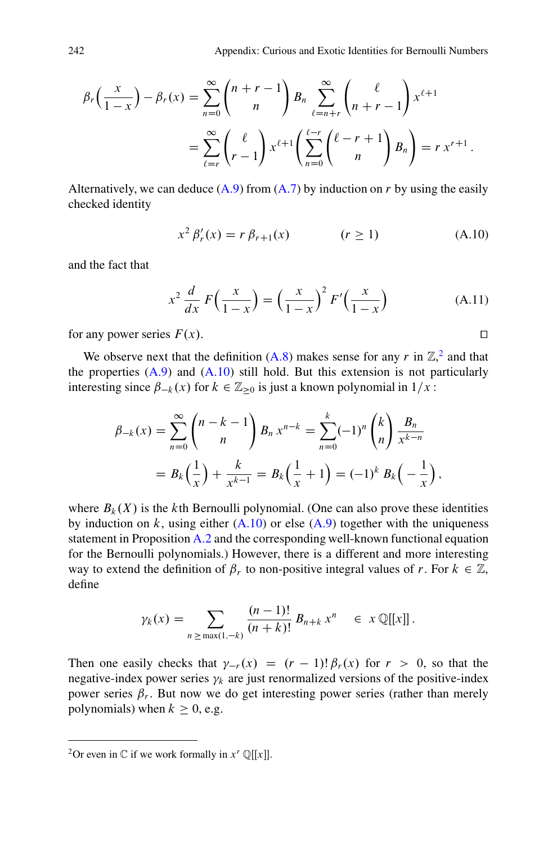<span id="page-3-0"></span>
$$
\beta_r\left(\frac{x}{1-x}\right) - \beta_r(x) = \sum_{n=0}^{\infty} {n+r-1 \choose n} B_n \sum_{\ell=n+r}^{\infty} { \ell \choose n+r-1} x^{\ell+1}
$$

$$
= \sum_{\ell=r}^{\infty} { \ell \choose r-1} x^{\ell+1} \left(\sum_{n=0}^{\ell-r} { \ell-r+1 \choose n} B_n\right) = r x^{r+1}.
$$

Alternatively, we can deduce  $(A.9)$  from  $(A.7)$  by induction on r by using the easily checked identity

$$
x^{2} \beta'_{r}(x) = r \beta_{r+1}(x) \qquad (r \ge 1)
$$
 (A.10)

and the fact that

$$
x^2 \frac{d}{dx} F\left(\frac{x}{1-x}\right) = \left(\frac{x}{1-x}\right)^2 F'\left(\frac{x}{1-x}\right) \tag{A.11}
$$

for any power series  $F(x)$ .

We observe next that the definition [\(A.8\)](#page-2-0) makes sense for any r in  $\mathbb{Z}^2$  and that the properties  $(A.9)$  and  $(A.10)$  still hold. But this extension is not particularly interesting since  $\beta_{-k}(x)$  for  $k \in \mathbb{Z}_{\geq 0}$  is just a known polynomial in  $1/x$ :

$$
\beta_{-k}(x) = \sum_{n=0}^{\infty} {n-k-1 \choose n} B_n x^{n-k} = \sum_{n=0}^{k} (-1)^n {k \choose n} \frac{B_n}{x^{k-n}}
$$
  
=  $B_k(\frac{1}{x}) + \frac{k}{x^{k-1}} = B_k(\frac{1}{x} + 1) = (-1)^k B_k(-\frac{1}{x}),$ 

where  $B_k(X)$  is the kth Bernoulli polynomial. (One can also prove these identities by induction on k, using either  $(A.10)$  or else  $(A.9)$  together with the uniqueness statement in Proposition [A.2](#page-2-0) and the corresponding well-known functional equation for the Bernoulli polynomials.) However, there is a different and more interesting way to extend the definition of  $\beta_r$  to non-positive integral values of r. For  $k \in \mathbb{Z}$ , define

$$
\gamma_k(x) = \sum_{n \ge \max(1,-k)} \frac{(n-1)!}{(n+k)!} B_{n+k} x^n \in x \mathbb{Q}[[x]].
$$

Then one easily checks that  $\gamma_{-r}(x) = (r-1)! \beta_r(x)$  for  $r > 0$ , so that the negative-index nower series  $\gamma_i$  are just renormalized versions of the nositive-index negative-index power series  $\gamma_k$  are just renormalized versions of the positive-index power series  $\beta_r$ . But now we do get interesting power series (rather than merely polynomials) when  $k \geq 0$ , e.g.

$$
\Box
$$

<sup>&</sup>lt;sup>2</sup>Or even in  $\mathbb C$  if we work formally in  $x^r \mathbb Q[[x]]$ .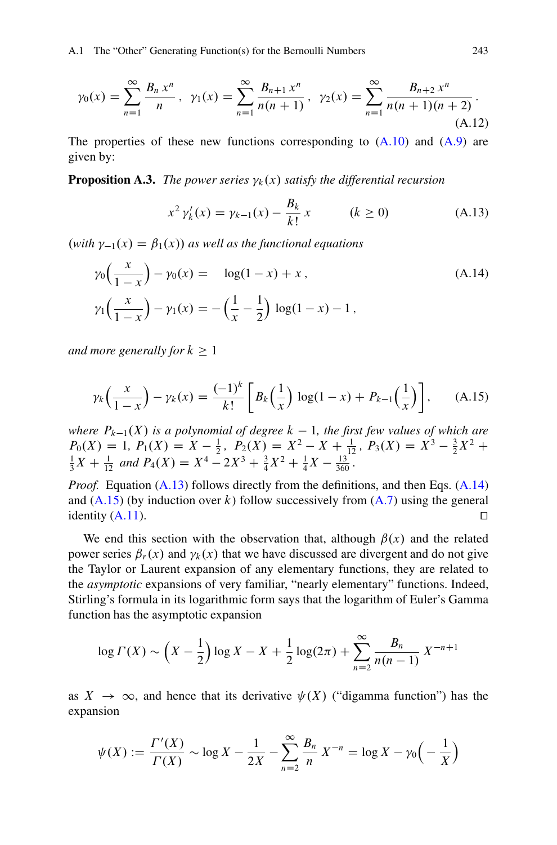<span id="page-4-0"></span>
$$
\gamma_0(x) = \sum_{n=1}^{\infty} \frac{B_n x^n}{n}, \ \gamma_1(x) = \sum_{n=1}^{\infty} \frac{B_{n+1} x^n}{n(n+1)}, \ \gamma_2(x) = \sum_{n=1}^{\infty} \frac{B_{n+2} x^n}{n(n+1)(n+2)}.
$$
\n(A.12)

The properties of these new functions corresponding to  $(A.10)$  and  $(A.9)$  are given by:

**Proposition A.3.** *The power series*  $\gamma_k(x)$  *satisfy the differential recursion* 

$$
x^{2} \gamma_{k}'(x) = \gamma_{k-1}(x) - \frac{B_{k}}{k!} x \qquad (k \ge 0)
$$
 (A.13)

 $(\text{with } \gamma_{-1}(x) = \beta_1(x))$  as well as the functional equations

$$
\gamma_0\left(\frac{x}{1-x}\right) - \gamma_0(x) = \log(1-x) + x, \qquad (A.14)
$$

$$
\gamma_1\left(\frac{x}{1-x}\right) - \gamma_1(x) = -\left(\frac{1}{x} - \frac{1}{2}\right)\log(1-x) - 1,
$$

*and more generally for*  $k > 1$ 

$$
\gamma_k \left( \frac{x}{1-x} \right) - \gamma_k(x) = \frac{(-1)^k}{k!} \left[ B_k \left( \frac{1}{x} \right) \log(1-x) + P_{k-1} \left( \frac{1}{x} \right) \right], \quad (A.15)
$$

*where*  $P_{k-1}(X)$  *is a polynomial of degree*  $k - 1$ *, the first few values of which are*  $P_0(X) - 1$   $P_1(X) - X - \frac{1}{2}$   $P_2(X) - X^2 - X + \frac{1}{2}$   $P_2(X) - X^3 - \frac{3}{2}X^2 +$  $P_0(X) = 1, P_1(X) = X - \frac{1}{2}, P_2(X) = X^2 - X + \frac{1}{12}, P_3(X) = X^3 - \frac{3}{2}X^2 + \frac{1}{3}X + \frac{1}{12}$  and  $P_4(X) = X^4 - 2X^3 + \frac{3}{4}X^2 + \frac{1}{4}X - \frac{13}{360}$ .

*Proof.* Equation (A.13) follows directly from the definitions, and then Eqs. (A.14) and  $(A.15)$  (by induction over k) follow successively from  $(A.7)$  using the general identity  $(A.11)$ .

We end this section with the observation that, although  $\beta(x)$  and the related power series  $\beta_r(x)$  and  $\gamma_k(x)$  that we have discussed are divergent and do not give the Taylor or Laurent expansion of any elementary functions, they are related to the *asymptotic* expansions of very familiar, "nearly elementary" functions. Indeed, Stirling's formula in its logarithmic form says that the logarithm of Euler's Gamma function has the asymptotic expansion

$$
\log \Gamma(X) \sim \left(X - \frac{1}{2}\right) \log X - X + \frac{1}{2} \log(2\pi) + \sum_{n=2}^{\infty} \frac{B_n}{n(n-1)} X^{-n+1}
$$

as  $X \to \infty$ , and hence that its derivative  $\psi(X)$  ("digamma function") has the expansion

$$
\psi(X) := \frac{\Gamma'(X)}{\Gamma(X)} \sim \log X - \frac{1}{2X} - \sum_{n=2}^{\infty} \frac{B_n}{n} X^{-n} = \log X - \gamma_0 \left( -\frac{1}{X} \right)
$$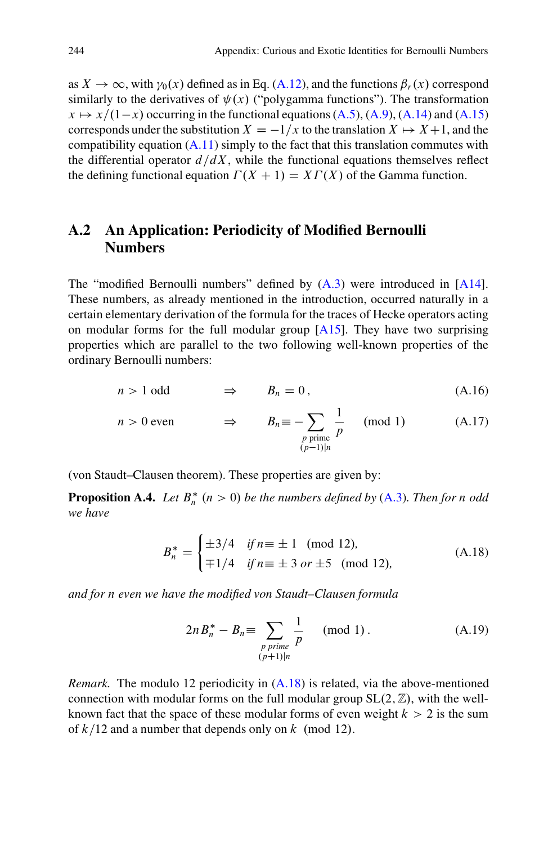<span id="page-5-0"></span>as  $X \to \infty$ , with  $\gamma_0(x)$  defined as in Eq. [\(A.12\)](#page-4-0), and the functions  $\beta_r(x)$  correspond similarly to the derivatives of  $\psi(x)$  ("polygamma functions"). The transformation  $x \mapsto x/(1-x)$  occurring in the functional equations [\(A.5\)](#page-2-0), [\(A.9\)](#page-2-0), [\(A.14\)](#page-4-0) and [\(A.15\)](#page-4-0) corresponds under the substitution  $X = -1/x$  to the translation  $X \mapsto X+1$ , and the compatibility equation  $(A.11)$  simply to the fact that this translation commutes with the differential operator  $d/dX$ , while the functional equations themselves reflect the defining functional equation  $\Gamma(X + 1) = XT(X)$  of the Gamma function.

## **A.2 An Application: Periodicity of Modified Bernoulli Numbers**

The "modified Bernoulli numbers" defined by  $(A.3)$  were introduced in  $[A14]$ . These numbers, as already mentioned in the introduction, occurred naturally in a certain elementary derivation of the formula for the traces of Hecke operators acting on modular forms for the full modular group [\[A15\]](#page-23-0). They have two surprising properties which are parallel to the two following well-known properties of the ordinary Bernoulli numbers:

$$
n > 1 \text{ odd} \qquad \Rightarrow \qquad B_n = 0, \tag{A.16}
$$

$$
n > 0 \text{ even} \qquad \Rightarrow \qquad B_n \equiv -\sum_{\substack{p \text{ prime} \\ (p-1)|n}} \frac{1}{p} \pmod{1} \tag{A.17}
$$

(von Staudt–Clausen theorem). These properties are given by:

**Proposition A.4.** Let  $B_n^*$  ( $n > 0$ ) be the numbers defined by [\(A.3\)](#page-0-0). Then for n odd *we have*

$$
B_n^* = \begin{cases} \pm 3/4 & \text{if } n \equiv \pm 1 \pmod{12}, \\ \mp 1/4 & \text{if } n \equiv \pm 3 \text{ or } \pm 5 \pmod{12}, \end{cases}
$$
 (A.18)

*and for* n *even we have the modified von Staudt–Clausen formula*

$$
2n B_n^* - B_n \equiv \sum_{\substack{p \text{ prime} \\ (p+1)|n}} \frac{1}{p} \pmod{1}. \tag{A.19}
$$

*Remark.* The modulo 12 periodicity in  $(A.18)$  is related, via the above-mentioned connection with modular forms on the full modular group  $SL(2, \mathbb{Z})$ , with the wellknown fact that the space of these modular forms of even weight  $k>2$  is the sum of  $k/12$  and a number that depends only on k (mod 12).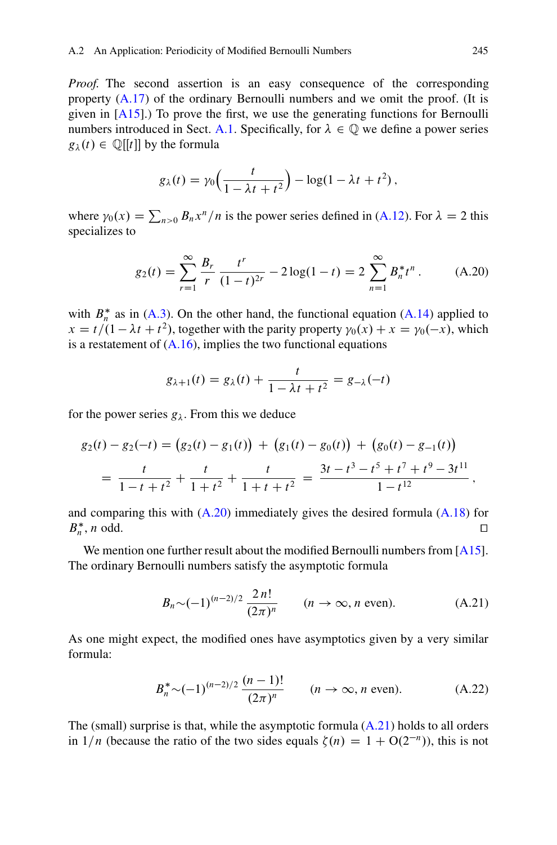<span id="page-6-0"></span>*Proof.* The second assertion is an easy consequence of the corresponding property [\(A.17\)](#page-5-0) of the ordinary Bernoulli numbers and we omit the proof. (It is given in  $[A15]$ .) To prove the first, we use the generating functions for Bernoulli numbers introduced in Sect. [A.1.](#page-1-0) Specifically, for  $\lambda \in \mathbb{Q}$  we define a power series  $g_{\lambda}(t) \in \mathbb{Q}[[t]]$  by the formula

$$
g_{\lambda}(t) = \gamma_0 \left( \frac{t}{1 - \lambda t + t^2} \right) - \log(1 - \lambda t + t^2),
$$

where  $\gamma_0(x) = \sum_{n>0} B_n x^n/n$  is the power series defined in [\(A.12\)](#page-4-0). For  $\lambda = 2$  this specializes to specializes to

$$
g_2(t) = \sum_{r=1}^{\infty} \frac{B_r}{r} \frac{t^r}{(1-t)^{2r}} - 2\log(1-t) = 2\sum_{n=1}^{\infty} B_n^* t^n.
$$
 (A.20)

with  $B_n^*$  as in [\(A.3\)](#page-0-0). On the other hand, the functional equation [\(A.14\)](#page-4-0) applied to  $x = t/(1 - \lambda t + t^2)$ , together with the parity property  $\gamma_0(x) + x = \gamma_0(-x)$ , which is a restatement of  $(A.16)$ , implies the two functional equations

$$
g_{\lambda+1}(t) = g_{\lambda}(t) + \frac{t}{1 - \lambda t + t^2} = g_{-\lambda}(-t)
$$

for the power series  $g_{\lambda}$ . From this we deduce

$$
g_2(t) - g_2(-t) = (g_2(t) - g_1(t)) + (g_1(t) - g_0(t)) + (g_0(t) - g_{-1}(t))
$$
  
= 
$$
\frac{t}{1 - t + t^2} + \frac{t}{1 + t^2} + \frac{t}{1 + t + t^2} = \frac{3t - t^3 - t^5 + t^7 + t^9 - 3t^{11}}{1 - t^{12}},
$$

and comparing this with  $(A.20)$  immediately gives the desired formula  $(A.18)$  for  $B_{n}^{*}$ , n odd.  $n, n$  odd.

We mention one further result about the modified Bernoulli numbers from [\[A15\]](#page-23-0). The ordinary Bernoulli numbers satisfy the asymptotic formula

$$
B_n \sim (-1)^{(n-2)/2} \frac{2n!}{(2\pi)^n}
$$
  $(n \to \infty, n \text{ even}).$  (A.21)

As one might expect, the modified ones have asymptotics given by a very similar formula:

$$
B_n^* \sim (-1)^{(n-2)/2} \frac{(n-1)!}{(2\pi)^n} \qquad (n \to \infty, n \text{ even}). \tag{A.22}
$$

The (small) surprise is that, while the asymptotic formula  $(A.21)$  holds to all orders in  $1/n$  (because the ratio of the two sides equals  $\zeta(n) = 1 + O(2^{-n})$ ), this is not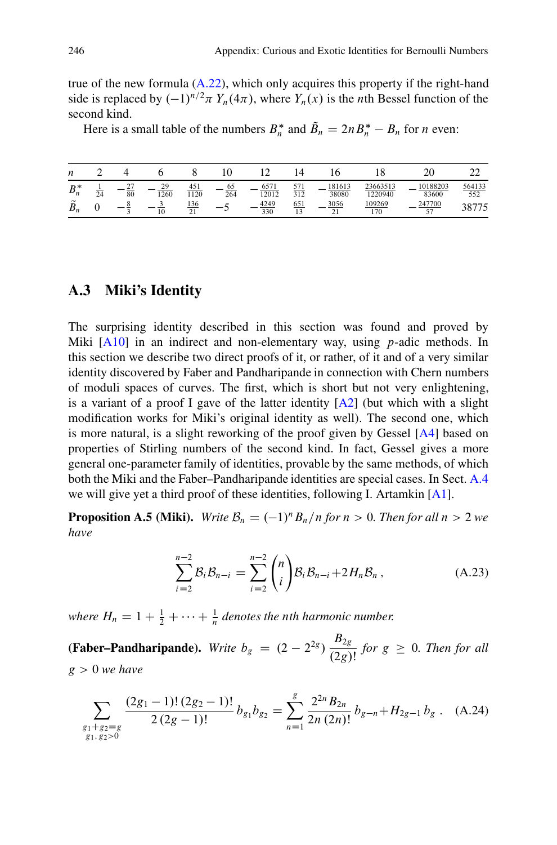<span id="page-7-0"></span>true of the new formula  $(A.22)$ , which only acquires this property if the right-hand side is replaced by  $(-1)^{n/2}\pi Y_n(4\pi)$ , where  $Y_n(x)$  is the *n*th Bessel function of the second kind second kind.

Here is a small table of the numbers  $B_n^*$  and  $B_n = 2nB_n^* - B_n$  for *n* even:

| n                              |    |          |            |            |           |               |            |                 |                     |                     |               |
|--------------------------------|----|----------|------------|------------|-----------|---------------|------------|-----------------|---------------------|---------------------|---------------|
| $n*$<br>$b_n$                  | 24 | 27<br>80 | 29<br>1260 | 451<br>120 | 65<br>264 | 6571<br>12012 | 571<br>312 | 181613<br>38080 | 23663513<br>1220940 | 10188203<br>83600   | 564133<br>552 |
| $\tilde{\phantom{a}}$<br>$B_n$ |    |          | 10         | 136<br>21  |           | 4249<br>330   | 651<br>13  | 3056<br>21      | 109269<br>170       | 247700<br>57<br>، ب | 38775         |

## **A.3 Miki's Identity**

The surprising identity described in this section was found and proved by Miki  $[A10]$  in an indirect and non-elementary way, using *p*-adic methods. In this section we describe two direct proofs of it, or rather, of it and of a very similar identity discovered by Faber and Pandharipande in connection with Chern numbers of moduli spaces of curves. The first, which is short but not very enlightening, is a variant of a proof I gave of the latter identity  $[A2]$  (but which with a slight modification works for Miki's original identity as well). The second one, which is more natural, is a slight reworking of the proof given by Gessel [\[A4\]](#page-22-0) based on properties of Stirling numbers of the second kind. In fact, Gessel gives a more general one-parameter family of identities, provable by the same methods, of which both the Miki and the Faber–Pandharipande identities are special cases. In Sect. [A.4](#page-10-0) we will give yet a third proof of these identities, following I. Artamkin [\[A1\]](#page-22-0).

**Proposition A.5 (Miki).** *Write*  $B_n = (-1)^n B_n/n$  *for*  $n > 0$ *. Then for all*  $n > 2$  *we have*

$$
\sum_{i=2}^{n-2} \mathcal{B}_i \mathcal{B}_{n-i} = \sum_{i=2}^{n-2} {n \choose i} \mathcal{B}_i \mathcal{B}_{n-i} + 2H_n \mathcal{B}_n ,
$$
 (A.23)

where  $H_n = 1 + \frac{1}{2} + \cdots + \frac{1}{n}$  denotes the *n*th harmonic number.

**(Faber–Pandharipande).** *Write*  $b_g = (2 - 2^{2g}) \frac{B_{2g}}{(2g)!}$  *for*  $g \ge 0$ *. Then for all* g>0 *we have*

$$
\sum_{\substack{g_1+g_2=g\\g_1,g_2>0}} \frac{(2g_1-1)!(2g_2-1)!}{2(2g-1)!} b_{g_1}b_{g_2} = \sum_{n=1}^g \frac{2^{2n}B_{2n}}{2n(2n)!} b_{g-n} + H_{2g-1}b_g.
$$
 (A.24)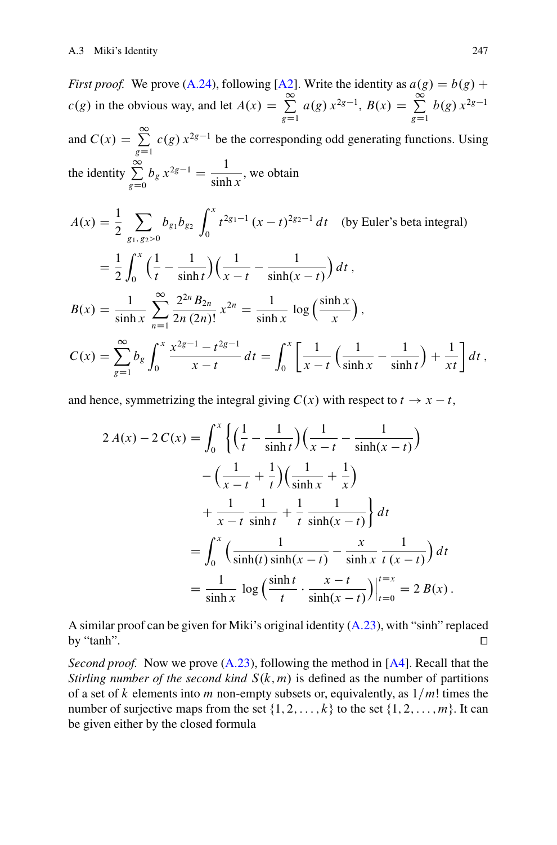*First proof.* We prove [\(A.24\)](#page-7-0), following [\[A2\]](#page-22-0). Write the identity as  $a(g) = b(g) + \frac{\infty}{g}$  $c(g)$  in the obvious way, and let  $A(x) = \sum_{g=1}^{\infty} a(g) x^{2g-1}$ ,  $B(x) = \sum_{g=1}^{\infty} b(g) x^{2g-1}$  $g=1$   $g=1$ and  $C(x) = \sum_{g=1}^{\infty} c(g) x^{2g-1}$  be the corresponding odd generating functions. Using  $g=1$ the identity  $\sum$  $g=0$  $b_g x^{2g-1} = \frac{1}{\sinh x}$ , we obtain

$$
A(x) = \frac{1}{2} \sum_{g_1, g_2>0} b_{g_1} b_{g_2} \int_0^x t^{2g_1-1} (x-t)^{2g_2-1} dt
$$
 (by Euler's beta integral)  
\n
$$
= \frac{1}{2} \int_0^x \left(\frac{1}{t} - \frac{1}{\sinh t}\right) \left(\frac{1}{x-t} - \frac{1}{\sinh(x-t)}\right) dt,
$$
  
\n
$$
B(x) = \frac{1}{\sinh x} \sum_{n=1}^\infty \frac{2^{2n} B_{2n}}{2n (2n)!} x^{2n} = \frac{1}{\sinh x} \log\left(\frac{\sinh x}{x}\right),
$$
  
\n
$$
C(x) = \sum_{g=1}^\infty b_g \int_0^x \frac{x^{2g-1} - t^{2g-1}}{x-t} dt = \int_0^x \left[\frac{1}{x-t} \left(\frac{1}{\sinh x} - \frac{1}{\sinh t}\right) + \frac{1}{xt}\right] dt,
$$

and hence, symmetrizing the integral giving  $C(x)$  with respect to  $t \rightarrow x - t$ ,

$$
2 A(x) - 2 C(x) = \int_0^x \left\{ \left( \frac{1}{t} - \frac{1}{\sinh t} \right) \left( \frac{1}{x - t} - \frac{1}{\sinh(x - t)} \right) - \left( \frac{1}{x - t} + \frac{1}{t} \right) \left( \frac{1}{\sinh x} + \frac{1}{x} \right) + \frac{1}{x - t} \frac{1}{\sinh t} + \frac{1}{t} \frac{1}{\sinh(x - t)} \right\} dt
$$
  
= 
$$
\int_0^x \left( \frac{1}{\sinh(t) \sinh(x - t)} - \frac{x}{\sinh x} \frac{1}{t (x - t)} \right) dt
$$
  
= 
$$
\frac{1}{\sinh x} \log \left( \frac{\sinh t}{t} \cdot \frac{x - t}{\sinh(x - t)} \right) \Big|_{t = 0}^{t = x} = 2 B(x).
$$

A similar proof can be given for Miki's original identity [\(A.23\)](#page-7-0), with "sinh" replaced by "tanh".  $\Box$ 

*Second proof.* Now we prove [\(A.23\)](#page-7-0), following the method in [\[A4\]](#page-22-0). Recall that the *Stirling number of the second kind*  $S(k, m)$  is defined as the number of partitions of a set of k elements into m non-empty subsets or, equivalently, as  $1/m!$  times the number of surjective maps from the set  $\{1, 2, \ldots, k\}$  to the set  $\{1, 2, \ldots, m\}$ . It can be given either by the closed formula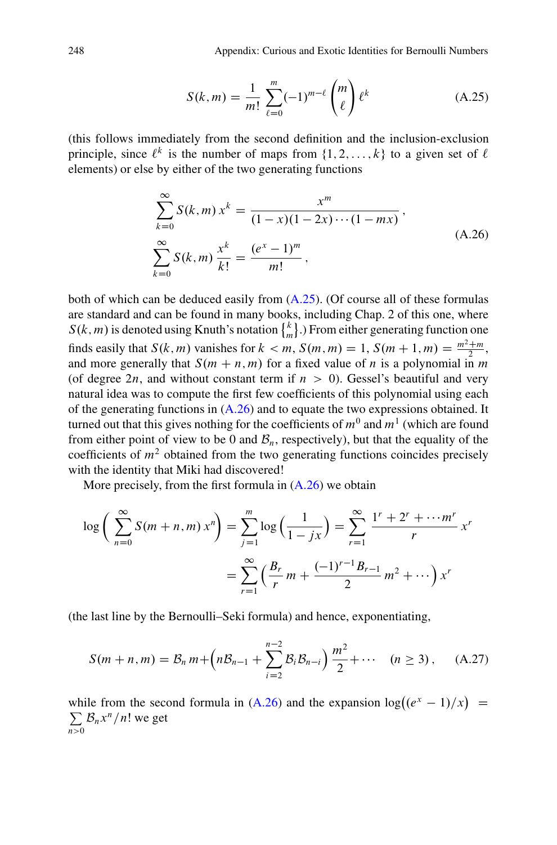$$
S(k,m) = \frac{1}{m!} \sum_{\ell=0}^{m} (-1)^{m-\ell} {m \choose \ell} \ell^k
$$
 (A.25)

<span id="page-9-0"></span>(this follows immediately from the second definition and the inclusion-exclusion principle, since  $\ell^k$  is the number of maps from  $\{1, 2, \ldots, k\}$  to a given set of  $\ell$ elements) or else by either of the two generating functions

$$
\sum_{k=0}^{\infty} S(k,m) x^{k} = \frac{x^{m}}{(1-x)(1-2x)\cdots(1-mx)},
$$
\n
$$
\sum_{k=0}^{\infty} S(k,m) \frac{x^{k}}{k!} = \frac{(e^{x}-1)^{m}}{m!},
$$
\n(A.26)

both of which can be deduced easily from (A.25). (Of course all of these formulas are standard and can be found in many books, including Chap. 2 of this one, where  $S(k, m)$  is denoted using Knuth's notation  $\begin{Bmatrix} k \\ m \end{Bmatrix}$ .) From either generating function one finds easily that  $S(k, m)$  vanishes for  $k < m$ ,  $S(m, m) = 1$ ,  $S(m + 1, m) = \frac{m^2 + m}{2}$ , and more generally that  $S(m + n, m)$  for a fixed value of *n* is a nolynomial in *m* and more generally that  $S(m + n, m)$  for a fixed value of n is a polynomial in m (of degree 2n, and without constant term if  $n > 0$ ). Gessel's beautiful and very natural idea was to compute the first few coefficients of this polynomial using each of the generating functions in  $(A.26)$  and to equate the two expressions obtained. It turned out that this gives nothing for the coefficients of  $m^0$  and  $m^1$  (which are found from either point of view to be 0 and  $B_n$ , respectively), but that the equality of the coefficients of  $m<sup>2</sup>$  obtained from the two generating functions coincides precisely with the identity that Miki had discovered!

More precisely, from the first formula in  $(A.26)$  we obtain

$$
\log\left(\sum_{n=0}^{\infty} S(m+n,m) x^n\right) = \sum_{j=1}^{m} \log\left(\frac{1}{1-jx}\right) = \sum_{r=1}^{\infty} \frac{1^r + 2^r + \dots + n^r}{r} x^r
$$

$$
= \sum_{r=1}^{\infty} \left(\frac{B_r}{r} m + \frac{(-1)^{r-1} B_{r-1}}{2} m^2 + \dots\right) x^r
$$

(the last line by the Bernoulli–Seki formula) and hence, exponentiating,

$$
S(m+n,m) = B_n m + \left(nB_{n-1} + \sum_{i=2}^{n-2} B_i B_{n-i}\right) \frac{m^2}{2} + \cdots \quad (n \ge 3), \quad (A.27)
$$

while from the second formula in (A.26) and the expansion  $\log((e^x - 1)/x)$ <br>  $\sum \mathcal{B}_{x} x^n / n!$  we get  $\sum B_n x^n/n!$  we get  $\sum_{n>0} \mathcal{B}_n x^n / n!$  we get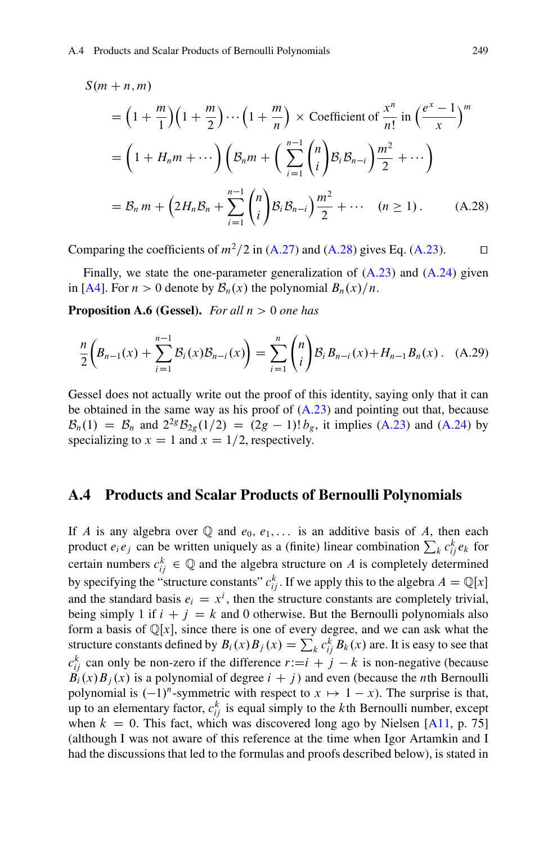<span id="page-10-0"></span> $S(m + n, m)$ 

$$
= \left(1 + \frac{m}{1}\right)\left(1 + \frac{m}{2}\right)\cdots\left(1 + \frac{m}{n}\right) \times \text{Coefficient of } \frac{x^n}{n!} \text{ in } \left(\frac{e^x - 1}{x}\right)^m
$$
\n
$$
= \left(1 + H_n m + \cdots\right)\left(\mathcal{B}_n m + \left(\sum_{i=1}^{n-1} {n \choose i} \mathcal{B}_i \mathcal{B}_{n-i}\right) \frac{m^2}{2} + \cdots\right)
$$
\n
$$
= \mathcal{B}_n m + \left(2H_n \mathcal{B}_n + \sum_{i=1}^{n-1} {n \choose i} \mathcal{B}_i \mathcal{B}_{n-i}\right) \frac{m^2}{2} + \cdots \quad (n \ge 1). \tag{A.28}
$$

Comparing the coefficients of  $m^2/2$  in [\(A.27\)](#page-9-0) and (A.28) gives Eq. [\(A.23\)](#page-7-0).  $\Box$ 

Finally, we state the one-parameter generalization of [\(A.23\)](#page-7-0) and [\(A.24\)](#page-7-0) given in [\[A4\]](#page-22-0). For  $n>0$  denote by  $\mathcal{B}_n(x)$  the polynomial  $B_n(x)/n$ .

**Proposition A.6 (Gessel).** *For all*  $n > 0$  *one has* 

$$
\frac{n}{2}\left(B_{n-1}(x) + \sum_{i=1}^{n-1} \mathcal{B}_i(x)\mathcal{B}_{n-i}(x)\right) = \sum_{i=1}^{n} {n \choose i} \mathcal{B}_i B_{n-i}(x) + H_{n-1} B_n(x).
$$
 (A.29)

Gessel does not actually write out the proof of this identity, saying only that it can be obtained in the same way as his proof of  $(A.23)$  and pointing out that, because  $B_n(1) = B_n$  and  $2^{2g} B_{2g}(1/2) = (2g - 1)! b_g$ , it implies [\(A.23\)](#page-7-0) and [\(A.24\)](#page-7-0) by specializing to  $x = 1$  and  $x = 1/2$ , respectively.

## **A.4 Products and Scalar Products of Bernoulli Polynomials**

If A is any algebra over  $\mathbb Q$  and  $e_0, e_1,...$  is an additive basis of A, then each product  $e_i e_j$  can be written uniquely as a (finite) linear combination  $\sum_k c_{ij}^k e_k$  for certain numbers  $c_{ij}^k \in \mathbb{Q}$  and the algebra structure on A is completely determined<br>by grapifying the "completely"  $e^k$ . If we apply this to the algebra  $A = \mathbb{Q}$  while by specifying the "structure constants"  $c_{ij}^k$ . If we apply this to the algebra  $A = \mathbb{Q}[x]$ <br>and the standard basis  $\varepsilon_n = x_k^i$  then the structure constants are completely trivial and the standard basis  $e_i = x^i$ , then the structure constants are completely trivial,<br>being simply 1 if  $i + i = k$  and 0 otherwise. But the Bernoulli polynomials also being simply 1 if  $i + j = k$  and 0 otherwise. But the Bernoulli polynomials also form a basis of  $\mathbb{Q}[x]$ , since there is one of every degree, and we can ask what the structure constants defined by  $B_i(x)B_j(x) = \sum_k c_{ij}^k B_k(x)$  are. It is easy to see that  $c_{ij}^k$  can only be non-zero if the difference  $r := i + j - k$  is non-negative (because  $B_k(r)B_k(r)$  is a nolynomial of degree  $i + i$ ) and even (because the *n*th Bernoulli  $B_i(x)B_j(x)$  is a polynomial of degree  $i + j$  and even (because the *n*th Bernoulli polynomial is  $(-1)^n$ -symmetric with respect to  $x \mapsto 1 - x$ ). The surprise is that, up to an elementary factor,  $c_{ij}^k$  is equal simply to the kth Bernoulli number, except when  $k = 0$ . This fact, which was discovered long ago by Nielsen [\[A11,](#page-23-0) p. 75] (although I was not aware of this reference at the time when Igor Artamkin and I had the discussions that led to the formulas and proofs described below), is stated in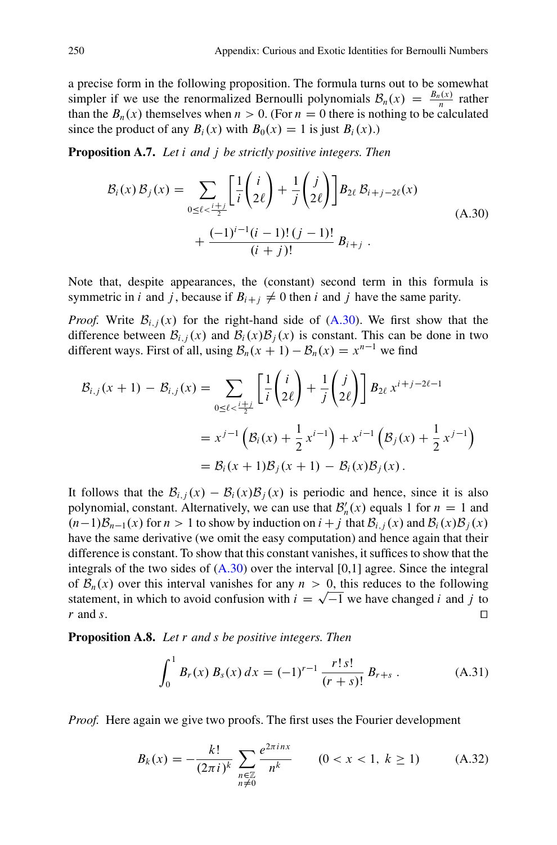<span id="page-11-0"></span>a precise form in the following proposition. The formula turns out to be somewhat simpler if we use the renormalized Bernoulli polynomials  $B_n(x) = \frac{B_n(x)}{n}$  rather<br>than the *B<sub>n</sub>*(x) themselves when  $n > 0$  (For  $n = 0$  there is nothing to be calculated than the  $B_n(x)$  themselves when  $n>0$ . (For  $n=0$  there is nothing to be calculated since the product of any  $B_i(x)$  with  $B_0(x) = 1$  is just  $B_i(x)$ .

**Proposition A.7.** *Let* i *and* j *be strictly positive integers. Then*

$$
\mathcal{B}_{i}(x) \mathcal{B}_{j}(x) = \sum_{0 \le \ell < \frac{i+j}{2}} \left[ \frac{1}{i} \binom{i}{2\ell} + \frac{1}{j} \binom{j}{2\ell} \right] B_{2\ell} \mathcal{B}_{i+j-2\ell}(x) + \frac{(-1)^{i-1} (i-1)! (j-1)!}{(i+j)!} B_{i+j} .
$$
\n(A.30)

Note that, despite appearances, the (constant) second term in this formula is symmetric in i and j, because if  $B_{i+j} \neq 0$  then i and j have the same parity.

*Proof.* Write  $B_{i,j}(x)$  for the right-hand side of  $(A.30)$ . We first show that the difference between  $\mathcal{B}_{i,j}(x)$  and  $\mathcal{B}_i(x)\mathcal{B}_j(x)$  is constant. This can be done in two different ways. First of all, using  $B_n(x + 1) - B_n(x) = x^{n-1}$  we find

$$
\mathcal{B}_{i,j}(x+1) - \mathcal{B}_{i,j}(x) = \sum_{0 \le \ell < \frac{i+j}{2}} \left[ \frac{1}{i} \binom{i}{2\ell} + \frac{1}{j} \binom{j}{2\ell} \right] \mathcal{B}_{2\ell} x^{i+j-2\ell-1}
$$
\n
$$
= x^{j-1} \left( \mathcal{B}_i(x) + \frac{1}{2} x^{i-1} \right) + x^{i-1} \left( \mathcal{B}_j(x) + \frac{1}{2} x^{j-1} \right)
$$
\n
$$
= \mathcal{B}_i(x+1) \mathcal{B}_j(x+1) - \mathcal{B}_i(x) \mathcal{B}_j(x).
$$

It follows that the  $B_{i,j}(x) - B_i(x)B_j(x)$  is periodic and hence, since it is also polynomial, constant. Alternatively, we can use that  $B'_n(x)$  equals 1 for  $n = 1$  and  $(n-1)B_{n-1}(x)$  for  $n > 1$  to show by induction on  $i \neq i$  that  $B_{n-1}(x)$  and  $B_n(x)B_n(x)$  $(n-1)B_{n-1}(x)$  for  $n>1$  to show by induction on  $i + j$  that  $B_{i,j}(x)$  and  $B_i(x)B_j(x)$  have the same derivative (we omit the easy computation) and hence again that their have the same derivative (we omit the easy computation) and hence again that their difference is constant. To show that this constant vanishes, it suffices to show that the integrals of the two sides of  $(A.30)$  over the interval  $[0,1]$  agree. Since the integral of  $\mathcal{B}_n(x)$  over this interval vanishes for any  $n>0$ , this reduces to the following statement, in which to avoid confusion with  $i = \sqrt{-1}$  we have changed i and j to r and s.  $r$  and s.

**Proposition A.8.** *Let* r *and* s *be positive integers. Then*

$$
\int_0^1 B_r(x) B_s(x) dx = (-1)^{r-1} \frac{r! s!}{(r+s)!} B_{r+s} . \tag{A.31}
$$

*Proof.* Here again we give two proofs. The first uses the Fourier development

$$
B_k(x) = -\frac{k!}{(2\pi i)^k} \sum_{\substack{n \in \mathbb{Z} \\ n \neq 0}} \frac{e^{2\pi i n x}}{n^k} \qquad (0 < x < 1, \ k \ge 1) \tag{A.32}
$$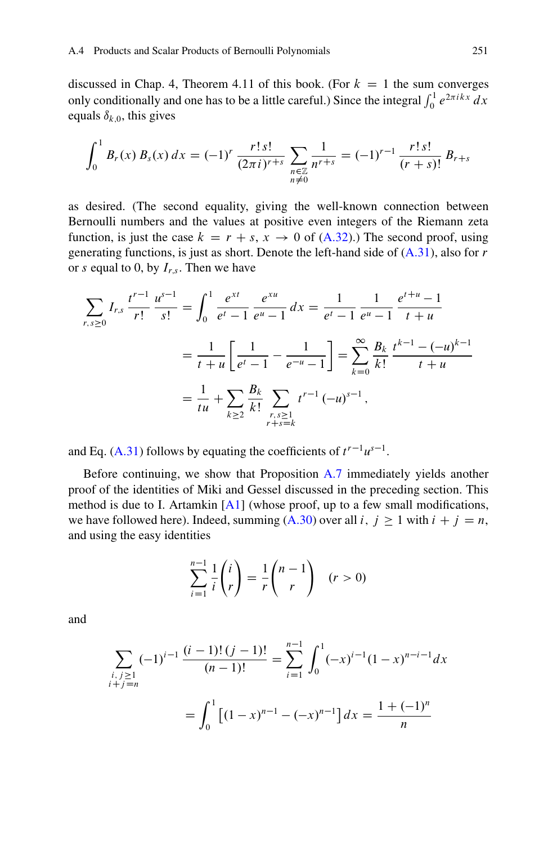discussed in Chap. 4, Theorem 4.11 of this book. (For  $k = 1$  the sum converges only conditionally and one has to be a little careful.) Since the integral  $\int_0^1 e^{2\pi i kx} dx$ equals  $\delta_{k,0}$ , this gives

$$
\int_0^1 B_r(x) B_s(x) dx = (-1)^r \frac{r! s!}{(2\pi i)^{r+s}} \sum_{\substack{n \in \mathbb{Z} \\ n \neq 0}} \frac{1}{n^{r+s}} = (-1)^{r-1} \frac{r! s!}{(r+s)!} B_{r+s}
$$

as desired. (The second equality, giving the well-known connection between Bernoulli numbers and the values at positive even integers of the Riemann zeta function, is just the case  $k = r + s$ ,  $x \to 0$  of [\(A.32\)](#page-11-0).) The second proof, using generating functions, is just as short. Denote the left-hand side of  $(A.31)$ , also for r or s equal to 0, by  $I_{r,s}$ . Then we have

$$
\sum_{r,s\geq 0} I_{r,s} \frac{t^{r-1}}{r!} \frac{u^{s-1}}{s!} = \int_0^1 \frac{e^{xt}}{e^t - 1} \frac{e^{xt}}{e^u - 1} dx = \frac{1}{e^t - 1} \frac{1}{e^u - 1} \frac{e^{t+u} - 1}{t+u}
$$

$$
= \frac{1}{t+u} \left[ \frac{1}{e^t - 1} - \frac{1}{e^{-u} - 1} \right] = \sum_{k=0}^\infty \frac{B_k}{k!} \frac{t^{k-1} - (-u)^{k-1}}{t+u}
$$

$$
= \frac{1}{tu} + \sum_{k\geq 2} \frac{B_k}{k!} \sum_{\substack{r,s\geq 1\\r+s=k}} t^{r-1} (-u)^{s-1},
$$

and Eq. [\(A.31\)](#page-11-0) follows by equating the coefficients of  $t^{r-1}u^{s-1}$ .

Before continuing, we show that Proposition [A.7](#page-11-0) immediately yields another proof of the identities of Miki and Gessel discussed in the preceding section. This method is due to I. Artamkin  $[A1]$  (whose proof, up to a few small modifications, we have followed here). Indeed, summing [\(A.30\)](#page-11-0) over all i,  $j \ge 1$  with  $i + j = n$ , and using the easy identities

$$
\sum_{i=1}^{n-1} \frac{1}{i} \binom{i}{r} = \frac{1}{r} \binom{n-1}{r} \quad (r > 0)
$$

and

$$
\sum_{\substack{i,j \ge 1 \\ i+j=n}} (-1)^{i-1} \frac{(i-1)!(j-1)!}{(n-1)!} = \sum_{i=1}^{n-1} \int_0^1 (-x)^{i-1} (1-x)^{n-i-1} dx
$$

$$
= \int_0^1 \left[ (1-x)^{n-1} - (-x)^{n-1} \right] dx = \frac{1 + (-1)^n}{n}
$$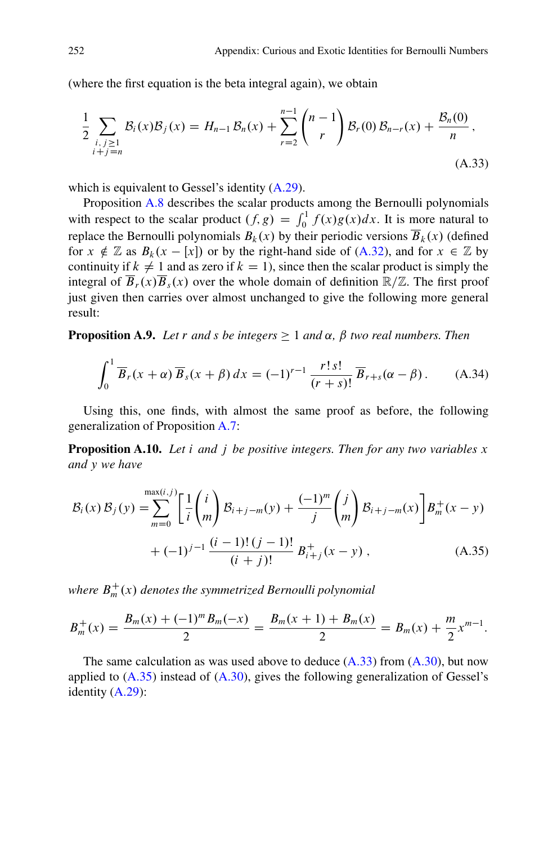<span id="page-13-0"></span>(where the first equation is the beta integral again), we obtain

$$
\frac{1}{2} \sum_{\substack{i,j \geq 1 \\ i+j=n}} \mathcal{B}_i(x) \mathcal{B}_j(x) = H_{n-1} \mathcal{B}_n(x) + \sum_{r=2}^{n-1} {n-1 \choose r} \mathcal{B}_r(0) \mathcal{B}_{n-r}(x) + \frac{\mathcal{B}_n(0)}{n},
$$
\n(A.33)

which is equivalent to Gessel's identity [\(A.29\)](#page-10-0).

Proposition [A.8](#page-11-0) describes the scalar products among the Bernoulli polynomials with respect to the scalar product  $(f, g) = \int_0^1 f(x)g(x)dx$ . It is more natural to replace the Bernoulli polynomials  $R_1(x)$  by their periodic versions  $\overline{R}_1(x)$  (defined replace the Bernoulli polynomials  $B_k(x)$  by their periodic versions  $\overline{B}_k(x)$  (defined for  $x \notin \mathbb{Z}$  as  $B_k(x - [x])$  or by the right-hand side of [\(A.32\)](#page-11-0), and for  $x \in \mathbb{Z}$  by continuity if  $k \neq 1$  and as zero if  $k = 1$ ), since then the scalar product is simply the integral of  $\overline{B}_r(x)\overline{B}_s(x)$  over the whole domain of definition  $\mathbb{R}/\mathbb{Z}$ . The first proof just given then carries over almost unchanged to give the following more general result:

**Proposition A.9.** *Let* r *and s be integers*  $\geq 1$  *and*  $\alpha$ *,*  $\beta$  *two real numbers. Then* 

$$
\int_0^1 \overline{B}_r(x+\alpha) \overline{B}_s(x+\beta) dx = (-1)^{r-1} \frac{r! s!}{(r+s)!} \overline{B}_{r+s}(\alpha - \beta).
$$
 (A.34)

Using this, one finds, with almost the same proof as before, the following generalization of Proposition [A.7:](#page-11-0)

**Proposition A.10.** *Let* i *and* j *be positive integers. Then for any two variables* x *and* y *we have*

$$
\mathcal{B}_{i}(x) \mathcal{B}_{j}(y) = \sum_{m=0}^{\max(i,j)} \left[ \frac{1}{i} {i \choose m} \mathcal{B}_{i+j-m}(y) + \frac{(-1)^{m}}{j} {j \choose m} \mathcal{B}_{i+j-m}(x) \right] B_{m}^{+}(x-y) + (-1)^{j-1} \frac{(i-1)!(j-1)!}{(i+j)!} B_{i+j}^{+}(x-y) , \qquad (A.35)
$$

where  $B_m^+(x)$  denotes the symmetrized Bernoulli polynomial

$$
B_m^+(x) = \frac{B_m(x) + (-1)^m B_m(-x)}{2} = \frac{B_m(x+1) + B_m(x)}{2} = B_m(x) + \frac{m}{2}x^{m-1}.
$$

The same calculation as was used above to deduce  $(A.33)$  from  $(A.30)$ , but now applied to (A.35) instead of [\(A.30\)](#page-11-0), gives the following generalization of Gessel's identity [\(A.29\)](#page-10-0):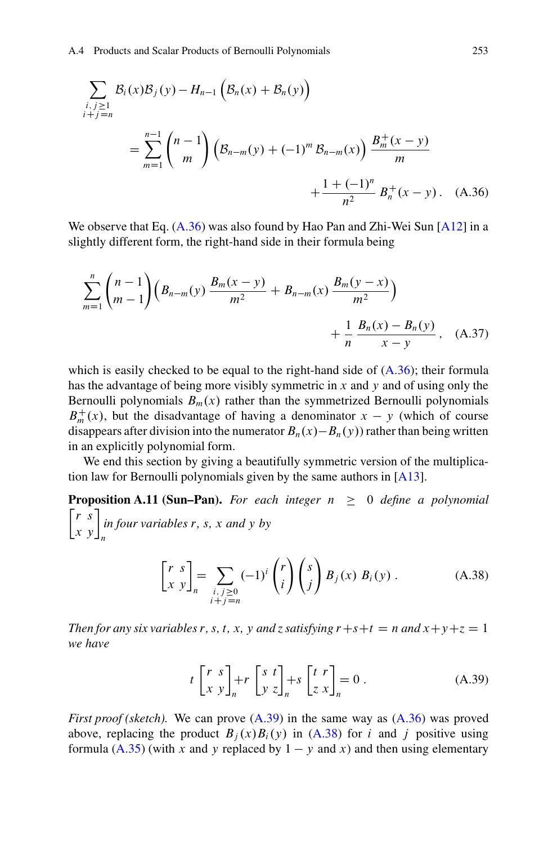<span id="page-14-0"></span>
$$
\sum_{\substack{i,j \geq 1 \\ i+j=n}} \mathcal{B}_i(x) \mathcal{B}_j(y) - H_{n-1} \left( \mathcal{B}_n(x) + \mathcal{B}_n(y) \right)
$$
  
= 
$$
\sum_{m=1}^{n-1} {n-1 \choose m} \left( \mathcal{B}_{n-m}(y) + (-1)^m \mathcal{B}_{n-m}(x) \right) \frac{\mathcal{B}_m^+(x-y)}{m}
$$
  
+ 
$$
\frac{1 + (-1)^n}{n^2} \mathcal{B}_n^+(x-y). \quad (A.36)
$$

We observe that Eq.  $(A.36)$  was also found by Hao Pan and Zhi-Wei Sun  $[A12]$  in a slightly different form, the right-hand side in their formula being

$$
\sum_{m=1}^{n} {n-1 \choose m-1} \left( B_{n-m}(y) \frac{B_m(x-y)}{m^2} + B_{n-m}(x) \frac{B_m(y-x)}{m^2} \right) + \frac{1}{n} \frac{B_n(x) - B_n(y)}{x-y}, \quad (A.37)
$$

which is easily checked to be equal to the right-hand side of  $(A.36)$ ; their formula has the advantage of being more visibly symmetric in x and y and of using only the Bernoulli polynomials  $B_m(x)$  rather than the symmetrized Bernoulli polynomials  $B_m^+(x)$ , but the disadvantage of having a denominator  $x - y$  (which of course<br>disance after division into the numerator  $R_-(x) - R_-(y)$  rather than being written disappears after division into the numerator  $B_n(x) - B_n(y)$  rather than being written in an explicitly polynomial form.

We end this section by giving a beautifully symmetric version of the multiplication law for Bernoulli polynomials given by the same authors in [\[A13\]](#page-23-0).

**Proposition A.11 (Sun–Pan).** For each integer  $n \geq 0$  define a polynomial  $\begin{bmatrix} r & s \\ x & y \end{bmatrix}_n^r$ *in four variables* r*,* s*,* x *and* y *by*

$$
\begin{bmatrix} r & s \\ x & y \end{bmatrix}_n = \sum_{\substack{i,j \ge 0 \\ i+j=n}} (-1)^i \binom{r}{i} \binom{s}{j} B_j(x) B_i(y) .
$$
 (A.38)

*Then for any six variables r, s, t, x, y and z satisfying*  $r+s+t = n$  and  $x+y+z=1$ *we have*

$$
t\begin{bmatrix} r & s \\ x & y \end{bmatrix}_{n} + r\begin{bmatrix} s & t \\ y & z \end{bmatrix}_{n} + s\begin{bmatrix} t & r \\ z & x \end{bmatrix}_{n} = 0.
$$
 (A.39)

*First proof (sketch).* We can prove  $(A.39)$  in the same way as  $(A.36)$  was proved above, replacing the product  $B_i(x)B_i(y)$  in (A.38) for i and j positive using formula [\(A.35\)](#page-13-0) (with x and y replaced by  $1 - y$  and x) and then using elementary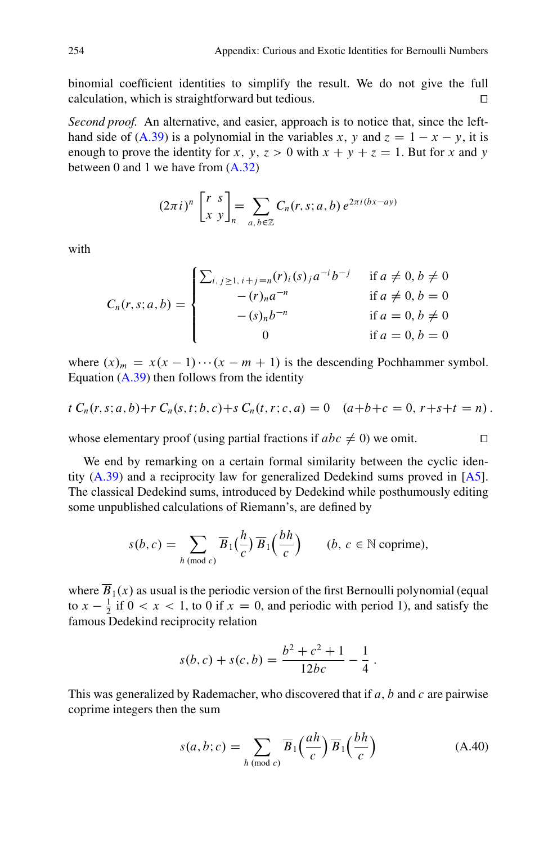<span id="page-15-0"></span>binomial coefficient identities to simplify the result. We do not give the full calculation, which is straightforward but tedious.  $\Box$ 

*Second proof.* An alternative, and easier, approach is to notice that, since the left-hand side of [\(A.39\)](#page-14-0) is a polynomial in the variables x, y and  $z = 1 - x - y$ , it is enough to prove the identity for x, y,  $z > 0$  with  $x + y + z = 1$ . But for x and y between 0 and 1 we have from [\(A.32\)](#page-11-0)

$$
(2\pi i)^n \begin{bmatrix} r & s \\ x & y \end{bmatrix}_n = \sum_{a,b \in \mathbb{Z}} C_n(r,s;a,b) e^{2\pi i (bx-ay)}
$$

with

$$
C_n(r, s; a, b) = \begin{cases} \sum_{i, j \ge 1, i+j = n} (r)_i(s)_j a^{-i} b^{-j} & \text{if } a \neq 0, b \neq 0 \\ -(r)_n a^{-n} & \text{if } a \neq 0, b = 0 \\ -(s)_n b^{-n} & \text{if } a = 0, b \neq 0 \\ 0 & \text{if } a = 0, b = 0 \end{cases}
$$

where  $(x)_m = x(x - 1) \cdots (x - m + 1)$  is the descending Pochhammer symbol.<br>Fouation (A 39) then follows from the identity Equation  $(A.39)$  then follows from the identity

$$
t C_n(r,s;a,b)+r C_n(s,t;b,c)+s C_n(t,r;c,a) = 0 \quad (a+b+c=0, r+s+t=n).
$$

whose elementary proof (using partial fractions if  $abc \neq 0$ ) we omit.  $\square$ 

We end by remarking on a certain formal similarity between the cyclic identity  $(A.39)$  and a reciprocity law for generalized Dedekind sums proved in  $[A5]$ . The classical Dedekind sums, introduced by Dedekind while posthumously editing some unpublished calculations of Riemann's, are defined by

$$
s(b, c) = \sum_{h \, (\text{mod } c)} \overline{B}_1\left(\frac{h}{c}\right) \overline{B}_1\left(\frac{bh}{c}\right) \qquad (b, c \in \mathbb{N} \text{ coprime}),
$$

where  $\overline{B}_1(x)$  as usual is the periodic version of the first Bernoulli polynomial (equal to  $x - \frac{1}{2}$  if  $0 < x < 1$ , to 0 if  $x = 0$ , and periodic with period 1), and satisfy the famous Dedekind reciprocity relation famous Dedekind reciprocity relation

$$
s(b, c) + s(c, b) = \frac{b^2 + c^2 + 1}{12bc} - \frac{1}{4}.
$$

This was generalized by Rademacher, who discovered that if  $a, b$  and  $c$  are pairwise coprime integers then the sum

$$
s(a, b; c) = \sum_{h \pmod{c}} \overline{B}_1\left(\frac{ah}{c}\right) \overline{B}_1\left(\frac{bh}{c}\right)
$$
 (A.40)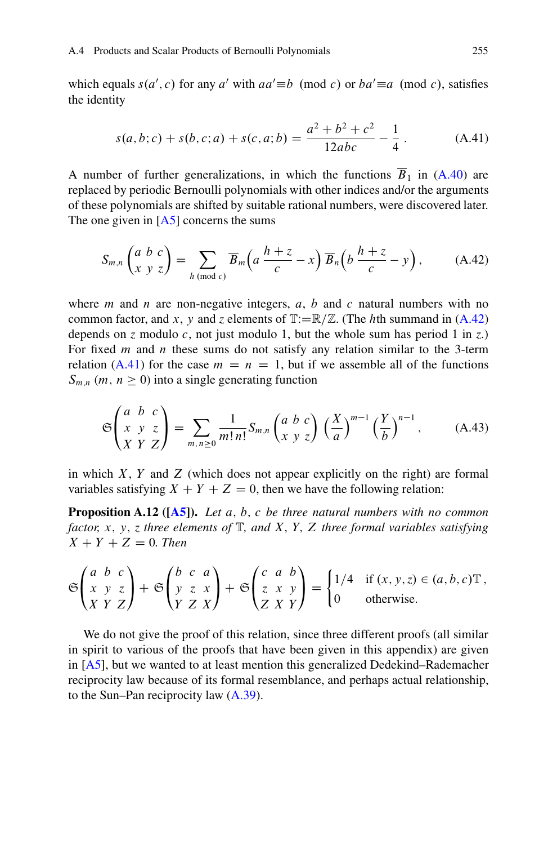which equals  $s(a', c)$  for any a' with  $aa' \equiv b \pmod{c}$  or  $ba' \equiv a \pmod{c}$ , satisfies the identity the identity

$$
s(a,b;c) + s(b,c;a) + s(c,a;b) = \frac{a^2 + b^2 + c^2}{12abc} - \frac{1}{4}.
$$
 (A.41)

A number of further generalizations, in which the functions  $\overline{B}_1$  in [\(A.40\)](#page-15-0) are replaced by periodic Bernoulli polynomials with other indices and/or the arguments of these polynomials are shifted by suitable rational numbers, were discovered later. The one given in  $[A5]$  concerns the sums

$$
S_{m,n}\begin{pmatrix} a & b & c \ x & y & z \end{pmatrix} = \sum_{h \pmod{c}} \overline{B}_m\Big(a\,\frac{h+z}{c} - x\Big) \,\overline{B}_n\Big(b\,\frac{h+z}{c} - y\Big),\tag{A.42}
$$

where m and n are non-negative integers, a, b and c natural numbers with no common factor, and x, y and z elements of  $\mathbb{T}:=\mathbb{R}/\mathbb{Z}$ . (The hth summand in (A.42) depends on *z* modulo *c*, not just modulo 1, but the whole sum has period 1 in *z*.) For fixed m and n these sums do not satisfy any relation similar to the 3-term relation (A.41) for the case  $m = n = 1$ , but if we assemble all of the functions  $S_{m,n}$  (*m*,  $n \geq 0$ ) into a single generating function

$$
\mathfrak{S}\begin{pmatrix} a & b & c \\ x & y & z \\ X & Y & Z \end{pmatrix} = \sum_{m,n \geq 0} \frac{1}{m!n!} S_{m,n} \begin{pmatrix} a & b & c \\ x & y & z \end{pmatrix} \left(\frac{X}{a}\right)^{m-1} \left(\frac{Y}{b}\right)^{n-1},\tag{A.43}
$$

in which  $X$ ,  $Y$  and  $Z$  (which does not appear explicitly on the right) are formal variables satisfying  $X + Y + Z = 0$ , then we have the following relation:

**Proposition A.12 ([\[A5\]](#page-22-0)).** *Let* a; b; c *be three natural numbers with no common factor,* x; y; *z three elements of* T*, and* X; Y; Z *three formal variables satisfying*  $X + Y + Z = 0$ . Then

$$
\mathfrak{S}\begin{pmatrix} a & b & c \\ x & y & z \\ X & Y & Z \end{pmatrix} + \mathfrak{S}\begin{pmatrix} b & c & a \\ y & z & x \\ Y & Z & X \end{pmatrix} + \mathfrak{S}\begin{pmatrix} c & a & b \\ z & x & y \\ Z & X & Y \end{pmatrix} = \begin{cases} 1/4 & \text{if } (x, y, z) \in (a, b, c) \mathbb{T}, \\ 0 & \text{otherwise.} \end{cases}
$$

We do not give the proof of this relation, since three different proofs (all similar in spirit to various of the proofs that have been given in this appendix) are given in [\[A5\]](#page-22-0), but we wanted to at least mention this generalized Dedekind–Rademacher reciprocity law because of its formal resemblance, and perhaps actual relationship, to the Sun–Pan reciprocity law [\(A.39\)](#page-14-0).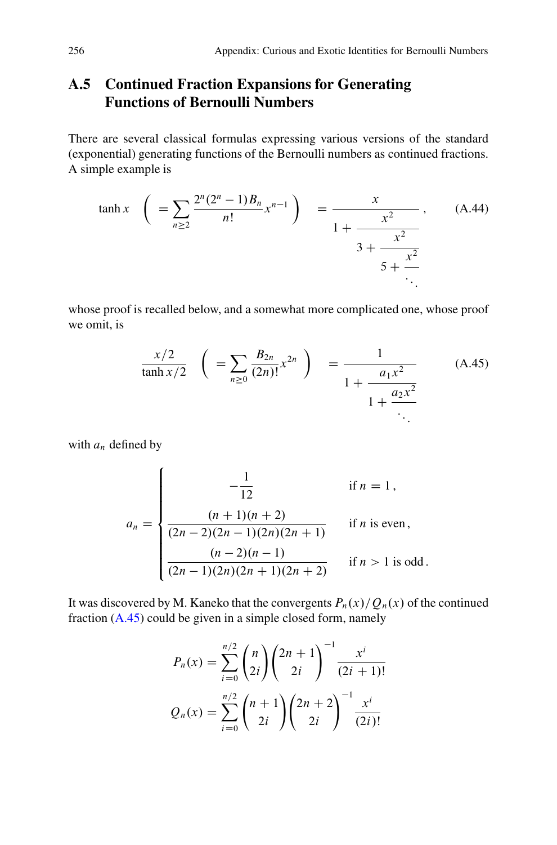## <span id="page-17-0"></span>**A.5 Continued Fraction Expansions for Generating Functions of Bernoulli Numbers**

There are several classical formulas expressing various versions of the standard (exponential) generating functions of the Bernoulli numbers as continued fractions. A simple example is

$$
\tanh x \quad \left( \ = \sum_{n\geq 2} \frac{2^n (2^n - 1) B_n}{n!} x^{n-1} \right) \quad = \frac{x}{1 + \frac{x^2}{3 + \frac{x^2}{5 + \frac{x^2}{\ddots}}}} \tag{A.44}
$$

whose proof is recalled below, and a somewhat more complicated one, whose proof we omit, is

$$
\frac{x/2}{\tanh x/2} \left( = \sum_{n \ge 0} \frac{B_{2n}}{(2n)!} x^{2n} \right) = \frac{1}{1 + \frac{a_1 x^2}{1 + \frac{a_2 x^2}{\ddots}}}
$$
(A.45)

with  $a_n$  defined by

$$
a_n = \begin{cases}\n-\frac{1}{12} & \text{if } n = 1, \\
\frac{(n+1)(n+2)}{(2n-2)(2n-1)(2n)(2n+1)} & \text{if } n \text{ is even,} \\
\frac{(n-2)(n-1)}{(2n-1)(2n)(2n+1)(2n+2)} & \text{if } n > 1 \text{ is odd.} \n\end{cases}
$$

It was discovered by M. Kaneko that the convergents  $P_n(x)/Q_n(x)$  of the continued fraction (A.45) could be given in a simple closed form, namely

$$
P_n(x) = \sum_{i=0}^{n/2} {n \choose 2i} {2n+1 \choose 2i}^{-1} \frac{x^i}{(2i+1)!}
$$

$$
Q_n(x) = \sum_{i=0}^{n/2} {n+1 \choose 2i} {2n+2 \choose 2i}^{-1} \frac{x^i}{(2i)!}
$$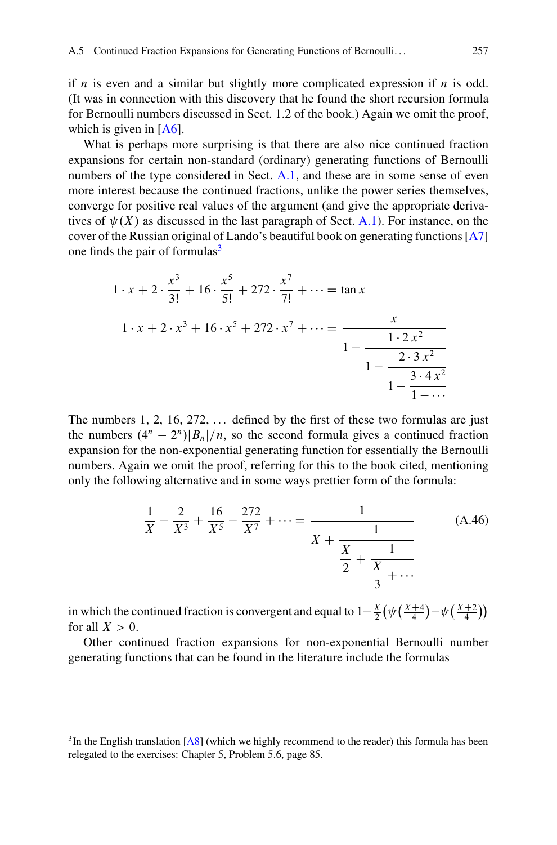<span id="page-18-0"></span>if  $n$  is even and a similar but slightly more complicated expression if  $n$  is odd. (It was in connection with this discovery that he found the short recursion formula for Bernoulli numbers discussed in Sect. 1.2 of the book.) Again we omit the proof, which is given in [\[A6\]](#page-22-0).

What is perhaps more surprising is that there are also nice continued fraction expansions for certain non-standard (ordinary) generating functions of Bernoulli numbers of the type considered in Sect. [A.1,](#page-1-0) and these are in some sense of even more interest because the continued fractions, unlike the power series themselves, converge for positive real values of the argument (and give the appropriate derivatives of  $\psi(X)$  as discussed in the last paragraph of Sect. [A.1\)](#page-1-0). For instance, on the cover of the Russian original of Lando's beautiful book on generating functions [\[A7\]](#page-23-0) one finds the pair of formulas $3$ 

$$
1 \cdot x + 2 \cdot \frac{x^3}{3!} + 16 \cdot \frac{x^5}{5!} + 272 \cdot \frac{x^7}{7!} + \dots = \tan x
$$
  

$$
1 \cdot x + 2 \cdot x^3 + 16 \cdot x^5 + 272 \cdot x^7 + \dots = \frac{x}{1 - \frac{1 \cdot 2 x^2}{1 - \frac{2 \cdot 3 x^2}{1 - \frac{3 \cdot 4 x^2}{1 - \dots}}}}
$$

The numbers  $1, 2, 16, 272, \ldots$  defined by the first of these two formulas are just the numbers  $(4^n - 2^n)|B_n|/n$ , so the second formula gives a continued fraction expansion for the non-exponential generating function for essentially the Bernoulli numbers. Again we omit the proof, referring for this to the book cited, mentioning only the following alternative and in some ways prettier form of the formula:

$$
\frac{1}{X} - \frac{2}{X^3} + \frac{16}{X^5} - \frac{272}{X^7} + \dots = \frac{1}{X + \frac{1}{X + \frac{1}{X + \frac{1}{X + \dots}}}}
$$
(A.46)

in which the continued fraction is convergent and equal to  $1-\frac{X}{2}(\psi(\frac{X+4}{4})-\psi(\frac{X+2}{4}))$ <br>for all  $X > 0$ for all  $X>0$ .

Other continued fraction expansions for non-exponential Bernoulli number generating functions that can be found in the literature include the formulas

 $3$ In the English translation [\[A8\]](#page-23-0) (which we highly recommend to the reader) this formula has been relegated to the exercises: Chapter 5, Problem 5.6, page 85.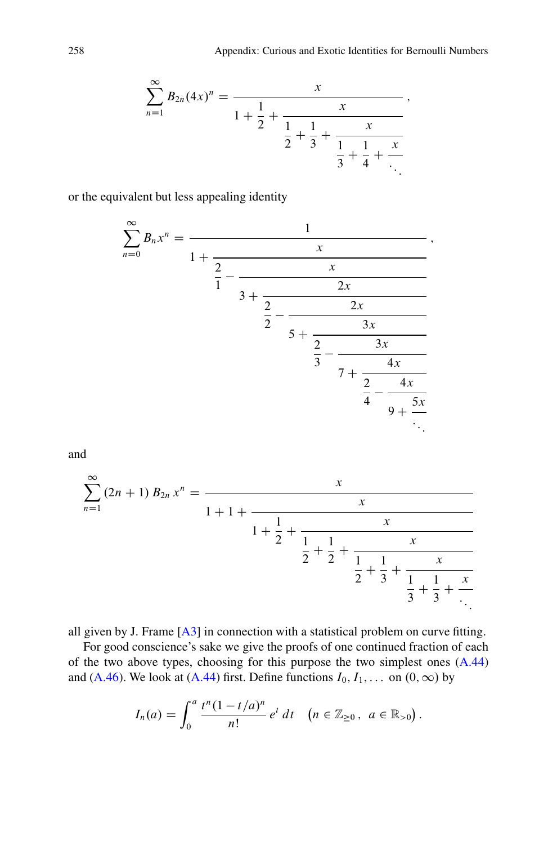$$
\sum_{n=1}^{\infty} B_{2n}(4x)^n = \frac{x}{1 + \frac{1}{2} + \frac{x}{\frac{1}{2} + \frac{1}{3} + \frac{x}{\frac{1}{3} + \frac{1}{4} + \frac{x}{\ddots}}}},
$$

or the equivalent but less appealing identity

$$
\sum_{n=0}^{\infty} B_n x^n = \cfrac{1}{1 + \cfrac{x}{\cfrac{2}{1} - \cfrac{x}{3 + \cfrac{2x}{\cfrac{2}{5} - \cfrac{2x}{5 + \cfrac{2}{\cfrac{2}{3} - \cfrac{3x}{7 + \cfrac{2}{\cfrac{2}{4} - \cfrac{4x}{9 + \cfrac{5x}{\cdots}}}}}}}}},
$$

and

$$
\sum_{n=1}^{\infty} (2n+1) B_{2n} x^n = \cfrac{x}{1+1+\cfrac{1}{2}+\cfrac{x}{1+\cfrac{1}{2}+\cfrac{1}{3}+\cfrac{1}{3}+\cfrac{x}{3}+\cfrac{x}{1+\cfrac{1}{3}+\cfrac{x}{3}+\cfrac{x}{3}+\cfrac{x}{3}}}}
$$

all given by J. Frame [\[A3\]](#page-22-0) in connection with a statistical problem on curve fitting.

For good conscience's sake we give the proofs of one continued fraction of each of the two above types, choosing for this purpose the two simplest ones [\(A.44\)](#page-17-0) and [\(A.46\)](#page-18-0). We look at [\(A.44\)](#page-17-0) first. Define functions  $I_0, I_1, \ldots$  on  $(0, \infty)$  by

$$
I_n(a) = \int_0^a \frac{t^n (1-t/a)^n}{n!} e^t dt \quad (n \in \mathbb{Z}_{\geq 0}, \ a \in \mathbb{R}_{>0}).
$$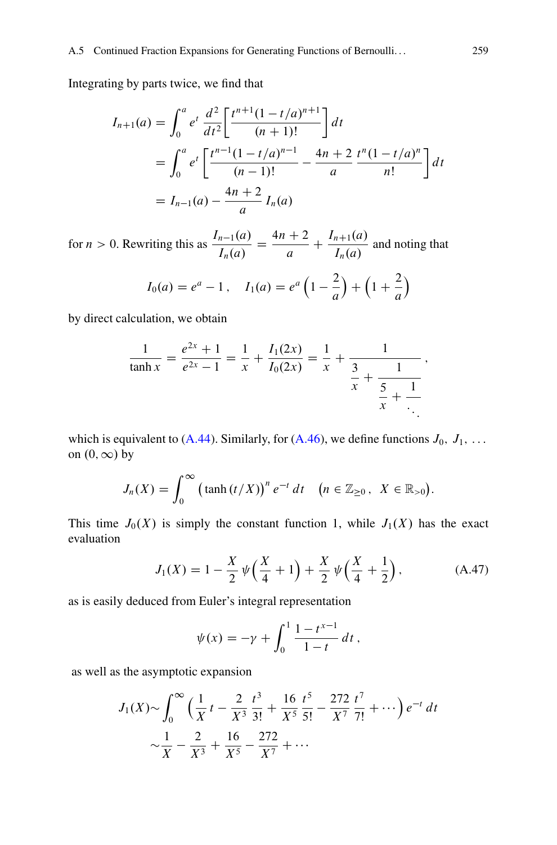<span id="page-20-0"></span>Integrating by parts twice, we find that

$$
I_{n+1}(a) = \int_0^a e^t \frac{d^2}{dt^2} \left[ \frac{t^{n+1}(1-t/a)^{n+1}}{(n+1)!} \right] dt
$$
  
= 
$$
\int_0^a e^t \left[ \frac{t^{n-1}(1-t/a)^{n-1}}{(n-1)!} - \frac{4n+2}{a} \frac{t^n(1-t/a)^n}{n!} \right] dt
$$
  
= 
$$
I_{n-1}(a) - \frac{4n+2}{a} I_n(a)
$$

for *n* > 0. Rewriting this as  $\frac{I_{n-1}(a)}{I_n(a)} = \frac{4n+2}{a}$  +  $\frac{I_{n+1}(a)}{I_n(a)}$  and noting that

$$
I_0(a) = e^a - 1
$$
,  $I_1(a) = e^a \left(1 - \frac{2}{a}\right) + \left(1 + \frac{2}{a}\right)$ 

by direct calculation, we obtain

$$
\frac{1}{\tanh x} = \frac{e^{2x} + 1}{e^{2x} - 1} = \frac{1}{x} + \frac{I_1(2x)}{I_0(2x)} = \frac{1}{x} + \frac{1}{\frac{3}{x} + \frac{1}{\frac{5}{x} + \frac{1}{\ddots}}},
$$

which is equivalent to [\(A.44\)](#page-17-0). Similarly, for [\(A.46\)](#page-18-0), we define functions  $J_0$ ,  $J_1$ , ... on  $(0, \infty)$  by

$$
J_n(X) = \int_0^\infty \left(\tanh(t/X)\right)^n e^{-t} dt \quad (n \in \mathbb{Z}_{\geq 0}, \ X \in \mathbb{R}_{>0}).
$$

This time  $J_0(X)$  is simply the constant function 1, while  $J_1(X)$  has the exact evaluation

$$
J_1(X) = 1 - \frac{X}{2} \psi \left( \frac{X}{4} + 1 \right) + \frac{X}{2} \psi \left( \frac{X}{4} + \frac{1}{2} \right), \tag{A.47}
$$

as is easily deduced from Euler's integral representation

$$
\psi(x) = -\gamma + \int_0^1 \frac{1 - t^{x-1}}{1 - t} dt,
$$

as well as the asymptotic expansion

$$
J_1(X) \sim \int_0^\infty \left(\frac{1}{X}t - \frac{2}{X^3}\frac{t^3}{3!} + \frac{16}{X^5}\frac{t^5}{5!} - \frac{272}{X^7}\frac{t^7}{7!} + \cdots\right)e^{-t} dt
$$
  

$$
\sim \frac{1}{X} - \frac{2}{X^3} + \frac{16}{X^5} - \frac{272}{X^7} + \cdots
$$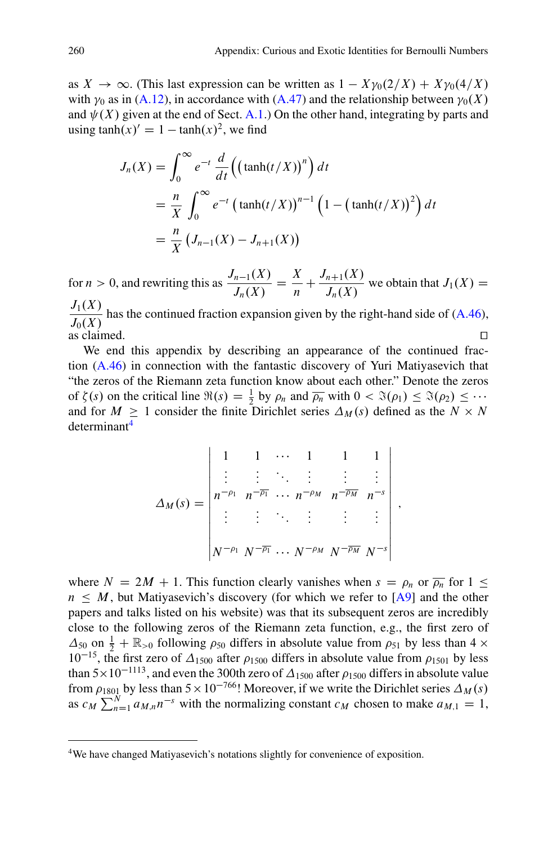as  $X \to \infty$ . (This last expression can be written as  $1 - X\gamma_0(2/X) + X\gamma_0(4/X)$ with  $\gamma_0$  as in [\(A.12\)](#page-4-0), in accordance with [\(A.47\)](#page-20-0) and the relationship between  $\gamma_0(X)$ and  $\psi(X)$  given at the end of Sect. [A.1.](#page-1-0)) On the other hand, integrating by parts and using  $\tanh(x)' = 1 - \tanh(x)^2$ , we find

$$
J_n(X) = \int_0^\infty e^{-t} \frac{d}{dt} \left( \left( \tanh(t/X) \right)^n \right) dt
$$
  
=  $\frac{n}{X} \int_0^\infty e^{-t} \left( \tanh(t/X) \right)^{n-1} \left( 1 - \left( \tanh(t/X) \right)^2 \right) dt$   
=  $\frac{n}{X} \left( J_{n-1}(X) - J_{n+1}(X) \right)$ 

for *n* > 0, and rewriting this as  $\frac{J_{n-1}(X)}{J_n(X)} = \frac{X}{n} +$  $\frac{J_{n+1}(X)}{J_n(X)}$  we obtain that  $J_1(X) =$  $\frac{J_1(X)}{J_0(X)}$  has the continued fraction expansion given by the right-hand side of [\(A.46\)](#page-18-0),

as claimed.  $\square$ <br>We end this appendix by describing an appearance of the continued fraction [\(A.46\)](#page-18-0) in connection with the fantastic discovery of Yuri Matiyasevich that "the zeros of the Riemann zeta function know about each other." Denote the zeros of  $\zeta(s)$  on the critical line  $\Re(s) = \frac{1}{2}$  by  $\rho_n$  and  $\overline{\rho_n}$  with  $0 < \Re(\rho_1) \leq \Re(\rho_2) \leq \cdots$ <br>and for  $M > 1$  consider the finite Dirichlet series  $\Delta_M(s)$  defined as the  $N \times N$ and for  $M \geq 1$  consider the finite Dirichlet series  $\Delta_M(s)$  defined as the  $N \times N$ determinant4

$$
\Delta_M(s) = \begin{vmatrix}\n1 & 1 & \cdots & 1 & 1 & 1 \\
\vdots & \vdots & \ddots & \vdots & \vdots & \vdots \\
n^{-\rho_1} & n^{-\overline{\rho_1}} & \cdots & n^{-\rho_M} & n^{-\overline{\rho_M}} & n^{-s} \\
\vdots & \vdots & \ddots & \vdots & \vdots & \vdots \\
N^{-\rho_1} & N^{-\overline{\rho_1}} & \cdots & N^{-\rho_M} & N^{-\overline{\rho_M}} & N^{-s}\n\end{vmatrix}
$$

;

where  $N = 2M + 1$ . This function clearly vanishes when  $s = \rho_n$  or  $\overline{\rho_n}$  for  $1 \le$  $n \leq M$ , but Matiyasevich's discovery (for which we refer to [\[A9\]](#page-23-0) and the other papers and talks listed on his website) was that its subsequent zeros are incredibly close to the following zeros of the Riemann zeta function, e.g., the first zero of  $\Delta_{50}$  on  $\frac{1}{2} + \mathbb{R}_{>0}$  following  $\rho_{50}$  differs in absolute value from  $\rho_{51}$  by less than  $4 \times 10^{-15}$  the first zero of  $\Delta_{150}$  after ever differs in absolute value from  $\rho_{150}$  by less  $10^{-15}$ , the first zero of  $\Delta_{1500}$  after  $\rho_{1500}$  differs in absolute value from  $\rho_{1501}$  by less than  $5\times10^{-1113}$ , and even the 300th zero of  $\Delta_{1500}$  after  $\rho_{1500}$  differs in absolute value<br>from  $\rho_{1500}$  by less than  $5\times10^{-766}$ ! Moreover if we write the Dirichlet series  $\Delta_{14}(s)$ from  $\rho_{1801}$  by less than  $5 \times 10^{-766}$ ! Moreover, if we write the Dirichlet series  $\Delta_M(s)$ <br>as  $\Delta N = 1$ .  $\Delta N = 1$ . as  $c_M \sum_{n=1}^{N} a_{M,n} n^{-s}$  with the normalizing constant  $c_M$  chosen to make  $a_{M,1} = 1$ ,

<sup>4</sup>We have changed Matiyasevich's notations slightly for convenience of exposition.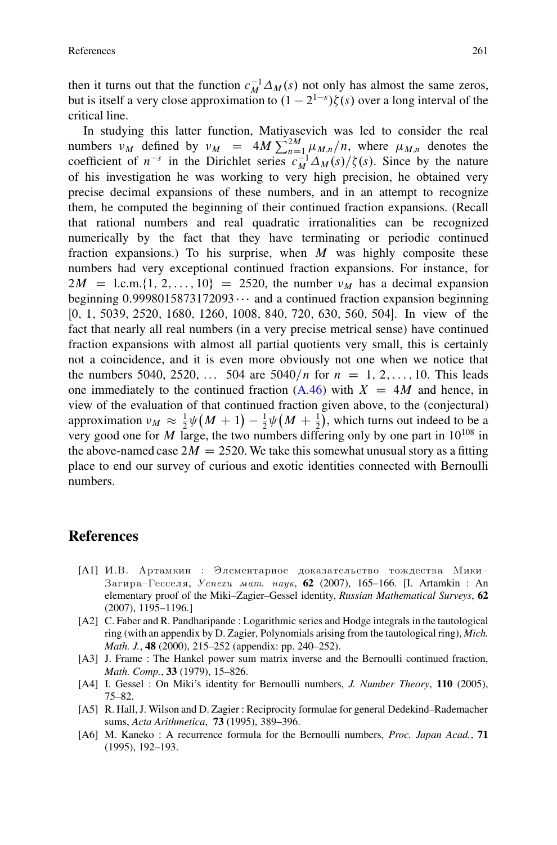<span id="page-22-0"></span>then it turns out that the function  $c_M^{-1} \Delta_M(s)$  not only has almost the same zeros, but is itself a very close approximation to  $(1 - 2^{1-s})\zeta(s)$  over a long interval of the critical line critical line.

In studying this latter function, Matiyasevich was led to consider the real numbers  $v_M$  defined by  $v_M = 4M \sum_{n=1}^{2M} \mu_{M,n}/n$ , where  $\mu_{M,n}$  denotes the coefficient of  $n^{-s}$  in the Dirichlet series  $c^{-1} \Lambda_M(s)/\zeta(s)$ . Since by the nature coefficient of  $n^{-s}$  in the Dirichlet series  $c_M^{-1} \Delta_M(s) / \zeta(s)$ . Since by the nature of his investigation he was working to very high precision, he obtained very precise decimal expansions of these numbers, and in an attempt to recognize them, he computed the beginning of their continued fraction expansions. (Recall that rational numbers and real quadratic irrationalities can be recognized numerically by the fact that they have terminating or periodic continued fraction expansions.) To his surprise, when  $M$  was highly composite these numbers had very exceptional continued fraction expansions. For instance, for  $2M = 1$ .c.m. $\{1, 2, \ldots, 10\} = 2520$ , the number  $\nu_M$  has a decimal expansion beginning 0.9998015873172093 $\cdots$  and a continued fraction expansion beginning<br>[0  $\pm$  5039 2520 1680 1260 1008 840 720 630 560 504]. In view of the [0, 1, 5039, 2520, 1680, 1260, 1008, 840, 720, 630, 560, 504]. In view of the fact that nearly all real numbers (in a very precise metrical sense) have continued fraction expansions with almost all partial quotients very small, this is certainly not a coincidence, and it is even more obviously not one when we notice that the numbers 5040, 2520, ... 504 are  $5040/n$  for  $n = 1, 2, ..., 10$ . This leads one immediately to the continued fraction  $(A.46)$  with  $X = 4M$  and hence, in view of the evaluation of that continued fraction given above, to the (conjectural) approximation  $\nu_M \approx \frac{1}{2}\psi(M+1) - \frac{1}{2}\psi(M+\frac{1}{2})$ , which turns out indeed to be a<br>very good one for M large, the two numbers differing only by one part in 10<sup>108</sup> in very good one for M large, the two numbers differing only by one part in  $10^{108}$  in the above-named case  $2M = 2520$ . We take this somewhat unusual story as a fitting place to end our survey of curious and exotic identities connected with Bernoulli numbers.

## **References**

- [A1] И.В. Артамкин : Элементарное доказательство тождества Мики-Загира-Гесселя, *Успехи мат. наук*, 62 (2007), 165-166. [I. Artamkin : An elementary proof of the Miki–Zagier–Gessel identity, *Russian Mathematical Surveys*, **62** (2007), 1195–1196.]
- [A2] C. Faber and R. Pandharipande : Logarithmic series and Hodge integrals in the tautological ring (with an appendix by D. Zagier, Polynomials arising from the tautological ring), *Mich. Math. J.*, **48** (2000), 215–252 (appendix: pp. 240–252).
- [A3] J. Frame : The Hankel power sum matrix inverse and the Bernoulli continued fraction, *Math. Comp.*, **33** (1979), 15–826.
- [A4] I. Gessel : On Miki's identity for Bernoulli numbers, *J. Number Theory*, **110** (2005), 75–82.
- [A5] R. Hall, J. Wilson and D. Zagier : Reciprocity formulae for general Dedekind–Rademacher sums, *Acta Arithmetica*, **73** (1995), 389–396.
- [A6] M. Kaneko : A recurrence formula for the Bernoulli numbers, *Proc. Japan Acad.*, **71** (1995), 192–193.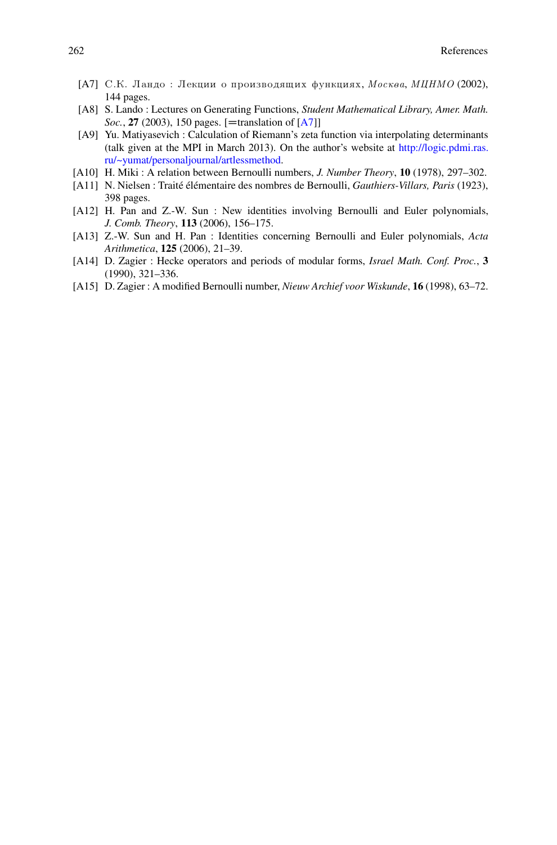- <span id="page-23-0"></span>[A7] C.K. Ландо : Лекции о производящих функциях, *Москва*, *MIHMO* (2002), 144 pages.
- [A8] S. Lando : Lectures on Generating Functions, *Student Mathematical Library, Amer. Math. Soc.*, **27** (2003), 150 pages. [=translation of  $[A7]$ ]
- [A9] Yu. Matiyasevich : Calculation of Riemann's zeta function via interpolating determinants (talk given at the MPI in March 2013). On the author's website at [http://logic.pdmi.ras.](http://logic.pdmi.ras.ru/~yumat/personaljournal/artlessmethod) [ru/~yumat/personaljournal/artlessmethod.](http://logic.pdmi.ras.ru/~yumat/personaljournal/artlessmethod)
- [A10] H. Miki : A relation between Bernoulli numbers, *J. Number Theory*, **10** (1978), 297–302.
- [A11] N. Nielsen : Traité élémentaire des nombres de Bernoulli, *Gauthiers-Villars, Paris* (1923), 398 pages.
- [A12] H. Pan and Z.-W. Sun : New identities involving Bernoulli and Euler polynomials, *J. Comb. Theory*, **113** (2006), 156–175.
- [A13] Z.-W. Sun and H. Pan : Identities concerning Bernoulli and Euler polynomials, *Acta Arithmetica*, **125** (2006), 21–39.
- [A14] D. Zagier : Hecke operators and periods of modular forms, *Israel Math. Conf. Proc.*, **3** (1990), 321–336.
- [A15] D. Zagier : A modified Bernoulli number, *Nieuw Archief voor Wiskunde*, **16** (1998), 63–72.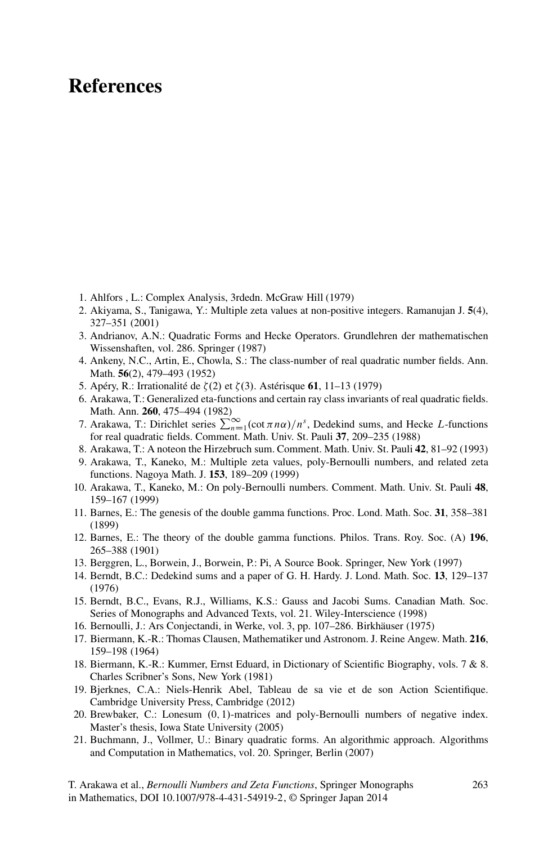# **References**

- 1. Ahlfors , L.: Complex Analysis, 3rdedn. McGraw Hill (1979)
- 2. Akiyama, S., Tanigawa, Y.: Multiple zeta values at non-positive integers. Ramanujan J. **5**(4), 327–351 (2001)
- 3. Andrianov, A.N.: Quadratic Forms and Hecke Operators. Grundlehren der mathematischen Wissenshaften, vol. 286. Springer (1987)
- 4. Ankeny, N.C., Artin, E., Chowla, S.: The class-number of real quadratic number fields. Ann. Math. **56**(2), 479–493 (1952)
- 5. Apéry, R.: Irrationalité de  $\zeta(2)$  et  $\zeta(3)$ . Astérisque **61**, 11–13 (1979)
- 6. Arakawa, T.: Generalized eta-functions and certain ray class invariants of real quadratic fields.
- Math. Ann. **260**, 475–494 (1982)<br>7. Arakawa, T.: Dirichlet series  $\sum_{n=1}^{\infty} (\cot \pi n \alpha)/n^s$ , Dedekind sums, and Hecke *L*-functions for real quadratic fields. Comment. Math. Univ. St. Pauli **37**, 209–235 (1988)
- 8. Arakawa, T.: A noteon the Hirzebruch sum. Comment. Math. Univ. St. Pauli **42**, 81–92 (1993)
- 9. Arakawa, T., Kaneko, M.: Multiple zeta values, poly-Bernoulli numbers, and related zeta functions. Nagoya Math. J. **153**, 189–209 (1999)
- 10. Arakawa, T., Kaneko, M.: On poly-Bernoulli numbers. Comment. Math. Univ. St. Pauli **48**, 159–167 (1999)
- 11. Barnes, E.: The genesis of the double gamma functions. Proc. Lond. Math. Soc. **31**, 358–381 (1899)
- 12. Barnes, E.: The theory of the double gamma functions. Philos. Trans. Roy. Soc. (A) **196**, 265–388 (1901)
- 13. Berggren, L., Borwein, J., Borwein, P.: Pi, A Source Book. Springer, New York (1997)
- 14. Berndt, B.C.: Dedekind sums and a paper of G. H. Hardy. J. Lond. Math. Soc. **13**, 129–137 (1976)
- 15. Berndt, B.C., Evans, R.J., Williams, K.S.: Gauss and Jacobi Sums. Canadian Math. Soc. Series of Monographs and Advanced Texts, vol. 21. Wiley-Interscience (1998)
- 16. Bernoulli, J.: Ars Conjectandi, in Werke, vol. 3, pp. 107–286. Birkhäuser (1975)
- 17. Biermann, K.-R.: Thomas Clausen, Mathematiker und Astronom. J. Reine Angew. Math. **216**, 159–198 (1964)
- 18. Biermann, K.-R.: Kummer, Ernst Eduard, in Dictionary of Scientific Biography, vols. 7 & 8. Charles Scribner's Sons, New York (1981)
- 19. Bjerknes, C.A.: Niels-Henrik Abel, Tableau de sa vie et de son Action Scientifique. Cambridge University Press, Cambridge (2012)
- 20. Brewbaker, C.: Lonesum  $(0, 1)$ -matrices and poly-Bernoulli numbers of negative index. Master's thesis, Iowa State University (2005)
- 21. Buchmann, J., Vollmer, U.: Binary quadratic forms. An algorithmic approach. Algorithms and Computation in Mathematics, vol. 20. Springer, Berlin (2007)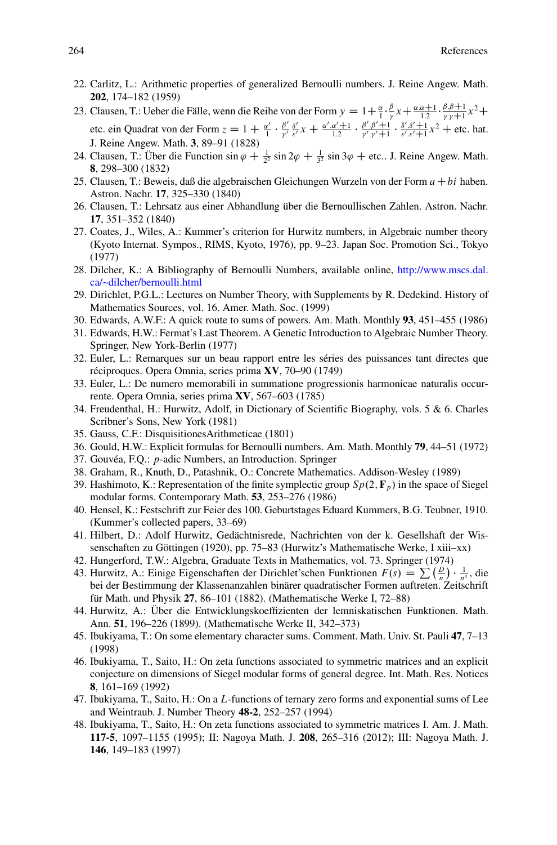- 22. Carlitz, L.: Arithmetic properties of generalized Bernoulli numbers. J. Reine Angew. Math. **202**, 174–182 (1959)
- 23. Clausen, T.: Ueber die Fälle, wenn die Reihe von der Form  $y = 1 + \frac{\alpha}{i} \cdot \frac{\beta}{r} x + \frac{\alpha \cdot \alpha + 1}{i! \cdot \beta}$ .  $\frac{\beta.\beta+1}{\gamma.\gamma+1}x^2 +$ etc. ein Quadrat von der Form  $z = 1 + \frac{\alpha'}{1} \cdot \frac{\beta'}{\gamma'} \frac{\delta'}{\varepsilon'} x + \frac{\alpha' \alpha' + 1}{1 \cdot 2} \cdot \frac{\beta' \cdot \beta' + 1}{\gamma' \cdot \gamma' + 1} \cdot \frac{\delta' \cdot \delta' + 1}{\varepsilon' \cdot \varepsilon' + 1} x^2$  + etc. hat. J. Reine Angew. Math. **3**, 89–91 (1828)
- 24. Clausen, T.: Über die Function  $\sin \varphi + \frac{1}{2^2} \sin 2\varphi + \frac{1}{3^2} \sin 3\varphi + \text{etc.}$  J. Reine Angew. Math.<br>**8** 298–300 (1832) **8**, 298–300 (1832)
- 25. Clausen, T.: Beweis, daß die algebraischen Gleichungen Wurzeln von der Form  $a+bi$  haben. Astron. Nachr. **17**, 325–330 (1840)
- 26. Clausen, T.: Lehrsatz aus einer Abhandlung über die Bernoullischen Zahlen. Astron. Nachr. **17**, 351–352 (1840)
- 27. Coates, J., Wiles, A.: Kummer's criterion for Hurwitz numbers, in Algebraic number theory (Kyoto Internat. Sympos., RIMS, Kyoto, 1976), pp. 9–23. Japan Soc. Promotion Sci., Tokyo (1977)
- 28. Dilcher, K.: A Bibliography of Bernoulli Numbers, available online, [http://www.mscs.dal.](http://www.mscs.dal.ca/~dilcher/bernoulli.html) [ca/~dilcher/bernoulli.html](http://www.mscs.dal.ca/~dilcher/bernoulli.html)
- 29. Dirichlet, P.G.L.: Lectures on Number Theory, with Supplements by R. Dedekind. History of Mathematics Sources, vol. 16. Amer. Math. Soc. (1999)
- 30. Edwards, A.W.F.: A quick route to sums of powers. Am. Math. Monthly **93**, 451–455 (1986)
- 31. Edwards, H.W.: Fermat's Last Theorem. A Genetic Introduction to Algebraic Number Theory. Springer, New York-Berlin (1977)
- 32. Euler, L.: Remarques sur un beau rapport entre les séries des puissances tant directes que réciproques. Opera Omnia, series prima **XV**, 70–90 (1749)
- 33. Euler, L.: De numero memorabili in summatione progressionis harmonicae naturalis occurrente. Opera Omnia, series prima **XV**, 567–603 (1785)
- 34. Freudenthal, H.: Hurwitz, Adolf, in Dictionary of Scientific Biography, vols. 5 & 6. Charles Scribner's Sons, New York (1981)
- 35. Gauss, C.F.: DisquisitionesArithmeticae (1801)
- 36. Gould, H.W.: Explicit formulas for Bernoulli numbers. Am. Math. Monthly **79**, 44–51 (1972)
- 37. Gouvéa, F.Q.: p-adic Numbers, an Introduction. Springer
- 38. Graham, R., Knuth, D., Patashnik, O.: Concrete Mathematics. Addison-Wesley (1989)
- 39. Hashimoto, K.: Representation of the finite symplectic group  $Sp(2, \mathbf{F}_p)$  in the space of Siegel modular forms. Contemporary Math. **53**, 253–276 (1986)
- 40. Hensel, K.: Festschrift zur Feier des 100. Geburtstages Eduard Kummers, B.G. Teubner, 1910. (Kummer's collected papers, 33–69)
- 41. Hilbert, D.: Adolf Hurwitz, Gedächtnisrede, Nachrichten von der k. Gesellshaft der Wissenschaften zu Göttingen (1920), pp. 75–83 (Hurwitz's Mathematische Werke, I xiii–xx)
- 42. Hungerford, T.W.: Algebra, Graduate Texts in Mathematics, vol. 73. Springer (1974)
- 43. Hurwitz, A.: Einige Eigenschaften der Dirichlet'schen Funktionen  $F(s) = \sum_{n} \left(\frac{D}{n}\right) \cdot \frac{1}{n^s}$ , die bei der Bestimmung der Klassenanzahlen binärer quadratischer Formen auftreten. Zeitschrift für Math. und Physik **27**, 86–101 (1882). (Mathematische Werke I, 72–88)
- 44. Hurwitz, A.: Über die Entwicklungskoeffizienten der lemniskatischen Funktionen. Math. Ann. **51**, 196–226 (1899). (Mathematische Werke II, 342–373)
- 45. Ibukiyama, T.: On some elementary character sums. Comment. Math. Univ. St. Pauli **47**, 7–13 (1998)
- 46. Ibukiyama, T., Saito, H.: On zeta functions associated to symmetric matrices and an explicit conjecture on dimensions of Siegel modular forms of general degree. Int. Math. Res. Notices **8**, 161–169 (1992)
- 47. Ibukiyama, T., Saito, H.: On a L-functions of ternary zero forms and exponential sums of Lee and Weintraub. J. Number Theory **48-2**, 252–257 (1994)
- 48. Ibukiyama, T., Saito, H.: On zeta functions associated to symmetric matrices I. Am. J. Math. **117-5**, 1097–1155 (1995); II: Nagoya Math. J. **208**, 265–316 (2012); III: Nagoya Math. J. **146**, 149–183 (1997)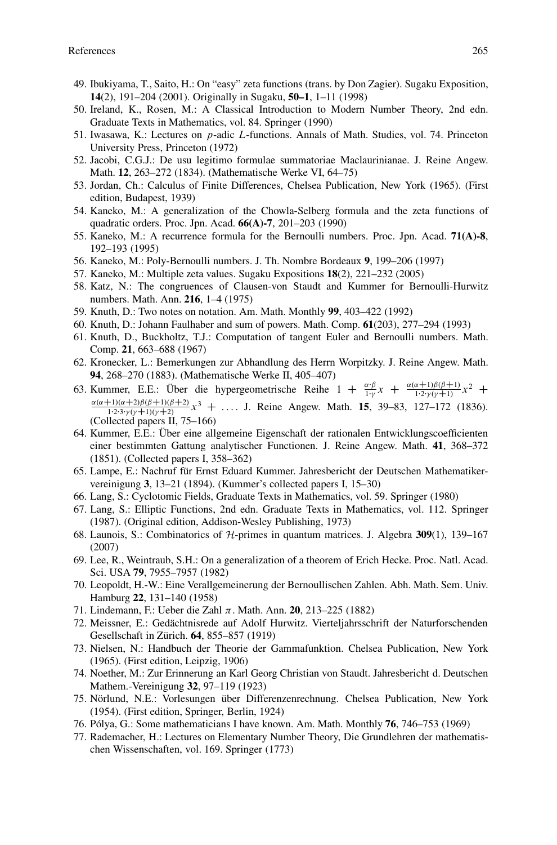- 49. Ibukiyama, T., Saito, H.: On "easy" zeta functions (trans. by Don Zagier). Sugaku Exposition, **14**(2), 191–204 (2001). Originally in Sugaku, **50–1**, 1–11 (1998)
- 50. Ireland, K., Rosen, M.: A Classical Introduction to Modern Number Theory, 2nd edn. Graduate Texts in Mathematics, vol. 84. Springer (1990)
- 51. Iwasawa, K.: Lectures on p-adic L-functions. Annals of Math. Studies, vol. 74. Princeton University Press, Princeton (1972)
- 52. Jacobi, C.G.J.: De usu legitimo formulae summatoriae Maclaurinianae. J. Reine Angew. Math. **12**, 263–272 (1834). (Mathematische Werke VI, 64–75)
- 53. Jordan, Ch.: Calculus of Finite Differences, Chelsea Publication, New York (1965). (First edition, Budapest, 1939)
- 54. Kaneko, M.: A generalization of the Chowla-Selberg formula and the zeta functions of quadratic orders. Proc. Jpn. Acad. **66(A)-7**, 201–203 (1990)
- 55. Kaneko, M.: A recurrence formula for the Bernoulli numbers. Proc. Jpn. Acad. **71(A)-8**, 192–193 (1995)
- 56. Kaneko, M.: Poly-Bernoulli numbers. J. Th. Nombre Bordeaux **9**, 199–206 (1997)
- 57. Kaneko, M.: Multiple zeta values. Sugaku Expositions **18**(2), 221–232 (2005)
- 58. Katz, N.: The congruences of Clausen-von Staudt and Kummer for Bernoulli-Hurwitz numbers. Math. Ann. **216**, 1–4 (1975)
- 59. Knuth, D.: Two notes on notation. Am. Math. Monthly **99**, 403–422 (1992)
- 60. Knuth, D.: Johann Faulhaber and sum of powers. Math. Comp. **61**(203), 277–294 (1993)
- 61. Knuth, D., Buckholtz, T.J.: Computation of tangent Euler and Bernoulli numbers. Math. Comp. **21**, 663–688 (1967)
- 62. Kronecker, L.: Bemerkungen zur Abhandlung des Herrn Worpitzky. J. Reine Angew. Math. **94**, 268–270 (1883). (Mathematische Werke II, 405–407)
- 63. Kummer, E.E.: Über die hypergeometrische Reihe  $1 + \frac{\alpha \cdot \beta}{1 \cdot \gamma} x + \frac{\alpha(\alpha+1)\beta(\beta+1)}{1 \cdot 2 \cdot \gamma(\gamma+1)} x^2 + \frac{\alpha(\alpha+1)(\beta+1)(\beta+2)}{1 \cdot 2 \cdot \gamma(\gamma+1)} x^2 + \frac{\alpha(\alpha+1)(\beta+1)(\beta+2)}{1 \cdot 2 \cdot \gamma(\gamma+1)} x^2 + \frac{\alpha(\alpha+1)(\beta+1)(\beta+2)}{1 \cdot 2 \cdot \gamma(\gamma+1)} x^2 + \frac$  $\frac{\alpha(\alpha+1)(\alpha+2)\beta(\beta+1)(\beta+2)}{1! \cdot 2! \cdot y! \cdot (y+1)(y+2)} x^3 + \dots$  J. Reine Angew. Math. **15**, 39–83, 127–172 (1836). (Collected papers II, 75–166)
- 64. Kummer, E.E.: Über eine allgemeine Eigenschaft der rationalen Entwicklungscoefficienten einer bestimmten Gattung analytischer Functionen. J. Reine Angew. Math. **41**, 368–372 (1851). (Collected papers I, 358–362)
- 65. Lampe, E.: Nachruf für Ernst Eduard Kummer. Jahresbericht der Deutschen Mathematikervereinigung **3**, 13–21 (1894). (Kummer's collected papers I, 15–30)
- 66. Lang, S.: Cyclotomic Fields, Graduate Texts in Mathematics, vol. 59. Springer (1980)
- 67. Lang, S.: Elliptic Functions, 2nd edn. Graduate Texts in Mathematics, vol. 112. Springer (1987). (Original edition, Addison-Wesley Publishing, 1973)
- 68. Launois, S.: Combinatorics of *H*-primes in quantum matrices. J. Algebra **309**(1), 139–167 (2007)
- 69. Lee, R., Weintraub, S.H.: On a generalization of a theorem of Erich Hecke. Proc. Natl. Acad. Sci. USA **79**, 7955–7957 (1982)
- 70. Leopoldt, H.-W.: Eine Verallgemeinerung der Bernoullischen Zahlen. Abh. Math. Sem. Univ. Hamburg **22**, 131–140 (1958)
- 71. Lindemann, F.: Ueber die Zahl -. Math. Ann. **20**, 213–225 (1882)
- 72. Meissner, E.: Gedächtnisrede auf Adolf Hurwitz. Vierteljahrsschrift der Naturforschenden Gesellschaft in Zürich. **64**, 855–857 (1919)
- 73. Nielsen, N.: Handbuch der Theorie der Gammafunktion. Chelsea Publication, New York (1965). (First edition, Leipzig, 1906)
- 74. Noether, M.: Zur Erinnerung an Karl Georg Christian von Staudt. Jahresbericht d. Deutschen Mathem.-Vereinigung **32**, 97–119 (1923)
- 75. Nörlund, N.E.: Vorlesungen über Differenzenrechnung. Chelsea Publication, New York (1954). (First edition, Springer, Berlin, 1924)
- 76. Pólya, G.: Some mathematicians I have known. Am. Math. Monthly **76**, 746–753 (1969)
- 77. Rademacher, H.: Lectures on Elementary Number Theory, Die Grundlehren der mathematischen Wissenschaften, vol. 169. Springer (1773)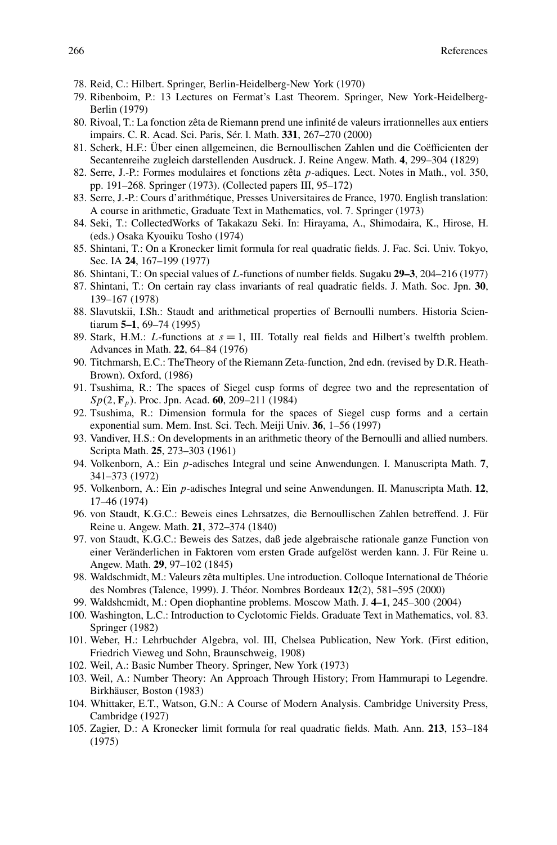- 78. Reid, C.: Hilbert. Springer, Berlin-Heidelberg-New York (1970)
- 79. Ribenboim, P.: 13 Lectures on Fermat's Last Theorem. Springer, New York-Heidelberg-Berlin (1979)
- 80. Rivoal, T.: La fonction zêta de Riemann prend une infinité de valeurs irrationnelles aux entiers impairs. C. R. Acad. Sci. Paris, Sér. l. Math. **331**, 267–270 (2000)
- 81. Scherk, H.F.: Über einen allgemeinen, die Bernoullischen Zahlen und die Coëfficienten der Secantenreihe zugleich darstellenden Ausdruck. J. Reine Angew. Math. **4**, 299–304 (1829)
- 82. Serre, J.-P.: Formes modulaires et fonctions zêta p-adiques. Lect. Notes in Math., vol. 350, pp. 191–268. Springer (1973). (Collected papers III, 95–172)
- 83. Serre, J.-P.: Cours d'arithmétique, Presses Universitaires de France, 1970. English translation: A course in arithmetic, Graduate Text in Mathematics, vol. 7. Springer (1973)
- 84. Seki, T.: CollectedWorks of Takakazu Seki. In: Hirayama, A., Shimodaira, K., Hirose, H. (eds.) Osaka Kyouiku Tosho (1974)
- 85. Shintani, T.: On a Kronecker limit formula for real quadratic fields. J. Fac. Sci. Univ. Tokyo, Sec. IA **24**, 167–199 (1977)
- 86. Shintani, T.: On special values of L-functions of number fields. Sugaku **29–3**, 204–216 (1977)
- 87. Shintani, T.: On certain ray class invariants of real quadratic fields. J. Math. Soc. Jpn. **30**, 139–167 (1978)
- 88. Slavutskii, I.Sh.: Staudt and arithmetical properties of Bernoulli numbers. Historia Scientiarum **5–1**, 69–74 (1995)
- 89. Stark, H.M.: L-functions at  $s = 1$ , III. Totally real fields and Hilbert's twelfth problem. Advances in Math. **22**, 64–84 (1976)
- 90. Titchmarsh, E.C.: TheTheory of the Riemann Zeta-function, 2nd edn. (revised by D.R. Heath-Brown). Oxford, (1986)
- 91. Tsushima, R.: The spaces of Siegel cusp forms of degree two and the representation of Sp(2, **F**<sub>p</sub>). Proc. Jpn. Acad. **60**, 209–211 (1984)
- 92. Tsushima, R.: Dimension formula for the spaces of Siegel cusp forms and a certain exponential sum. Mem. Inst. Sci. Tech. Meiji Univ. **36**, 1–56 (1997)
- 93. Vandiver, H.S.: On developments in an arithmetic theory of the Bernoulli and allied numbers. Scripta Math. **25**, 273–303 (1961)
- 94. Volkenborn, A.: Ein p-adisches Integral und seine Anwendungen. I. Manuscripta Math. **7**, 341–373 (1972)
- 95. Volkenborn, A.: Ein p-adisches Integral und seine Anwendungen. II. Manuscripta Math. **12**, 17–46 (1974)
- 96. von Staudt, K.G.C.: Beweis eines Lehrsatzes, die Bernoullischen Zahlen betreffend. J. Für Reine u. Angew. Math. **21**, 372–374 (1840)
- 97. von Staudt, K.G.C.: Beweis des Satzes, daß jede algebraische rationale ganze Function von einer Veränderlichen in Faktoren vom ersten Grade aufgelöst werden kann. J. Für Reine u. Angew. Math. **29**, 97–102 (1845)
- 98. Waldschmidt, M.: Valeurs zêta multiples. Une introduction. Colloque International de Théorie des Nombres (Talence, 1999). J. Théor. Nombres Bordeaux **12**(2), 581–595 (2000)
- 99. Waldshcmidt, M.: Open diophantine problems. Moscow Math. J. **4–1**, 245–300 (2004)
- 100. Washington, L.C.: Introduction to Cyclotomic Fields. Graduate Text in Mathematics, vol. 83. Springer (1982)
- 101. Weber, H.: Lehrbuchder Algebra, vol. III, Chelsea Publication, New York. (First edition, Friedrich Vieweg und Sohn, Braunschweig, 1908)
- 102. Weil, A.: Basic Number Theory. Springer, New York (1973)
- 103. Weil, A.: Number Theory: An Approach Through History; From Hammurapi to Legendre. Birkhäuser, Boston (1983)
- 104. Whittaker, E.T., Watson, G.N.: A Course of Modern Analysis. Cambridge University Press, Cambridge (1927)
- 105. Zagier, D.: A Kronecker limit formula for real quadratic fields. Math. Ann. **213**, 153–184 (1975)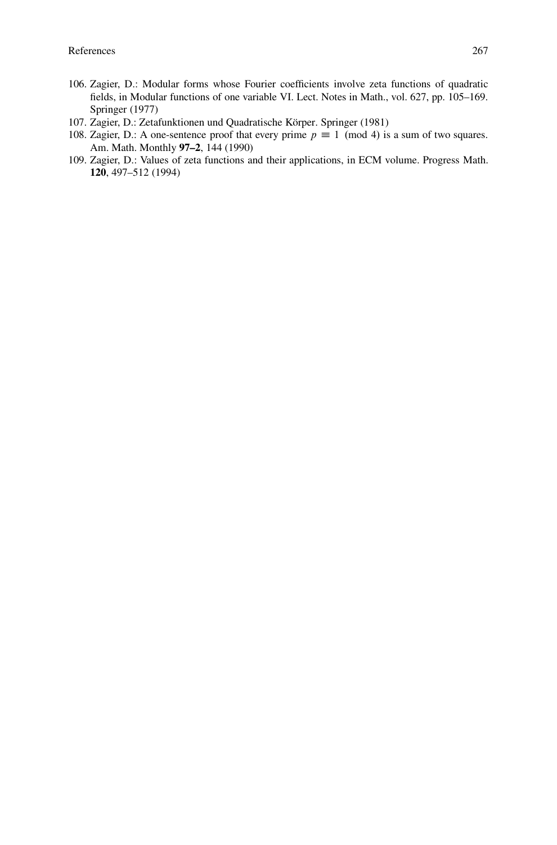- 106. Zagier, D.: Modular forms whose Fourier coefficients involve zeta functions of quadratic fields, in Modular functions of one variable VI. Lect. Notes in Math., vol. 627, pp. 105–169. Springer (1977)
- 107. Zagier, D.: Zetafunktionen und Quadratische Körper. Springer (1981)
- 108. Zagier, D.: A one-sentence proof that every prime  $p \equiv 1 \pmod{4}$  is a sum of two squares. Am. Math. Monthly **97–2**, 144 (1990)
- 109. Zagier, D.: Values of zeta functions and their applications, in ECM volume. Progress Math. **120**, 497–512 (1994)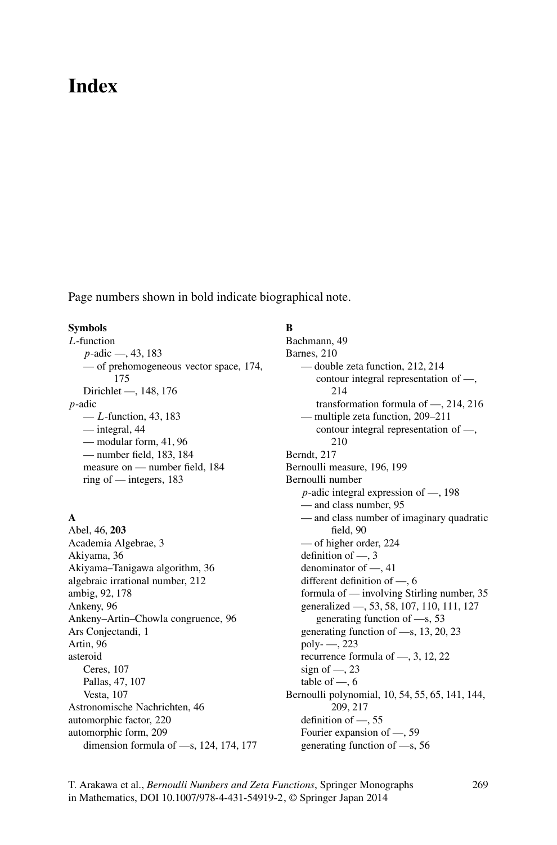# **Index**

Page numbers shown in bold indicate biographical note.

#### **Symbols**

L-function p-adic —, 43, 183 — of prehomogeneous vector space, 174, 175 Dirichlet —, 148, 176 p-adic  $-L$ -function, 43, 183 — integral, 44 — modular form, 41, 96 — number field, 183, 184 measure on — number field, 184 ring of — integers, 183

## **A**

Abel, 46, **203** Academia Algebrae, 3 Akiyama, 36 Akiyama–Tanigawa algorithm, 36 algebraic irrational number, 212 ambig, 92, 178 Ankeny, 96 Ankeny–Artin–Chowla congruence, 96 Ars Conjectandi, 1 Artin, 96 asteroid Ceres, 107 Pallas, 47, 107 Vesta, 107 Astronomische Nachrichten, 46 automorphic factor, 220 automorphic form, 209 dimension formula of —s, 124, 174, 177

## **B**

Bachmann, 49 Barnes, 210 — double zeta function, 212, 214 contour integral representation of —, 214 transformation formula of —, 214, 216 — multiple zeta function, 209–211 contour integral representation of —, 210 Berndt, 217 Bernoulli measure, 196, 199 Bernoulli number p-adic integral expression of —, 198 — and class number, 95 — and class number of imaginary quadratic field, 90 — of higher order, 224 definition of —, 3 denominator of —, 41 different definition of —, 6 formula of — involving Stirling number, 35 generalized —, 53, 58, 107, 110, 111, 127 generating function of —s, 53 generating function of —s, 13, 20, 23 poly- —, 223 recurrence formula of —, 3, 12, 22 sign of  $\sim$ , 23 table of  $-$ , 6 Bernoulli polynomial, 10, 54, 55, 65, 141, 144, 209, 217 definition of —, 55 Fourier expansion of —, 59 generating function of —s, 56

T. Arakawa et al., *Bernoulli Numbers and Zeta Functions*, Springer Monographs in Mathematics, DOI 10.1007/978-4-431-54919-2, © Springer Japan 2014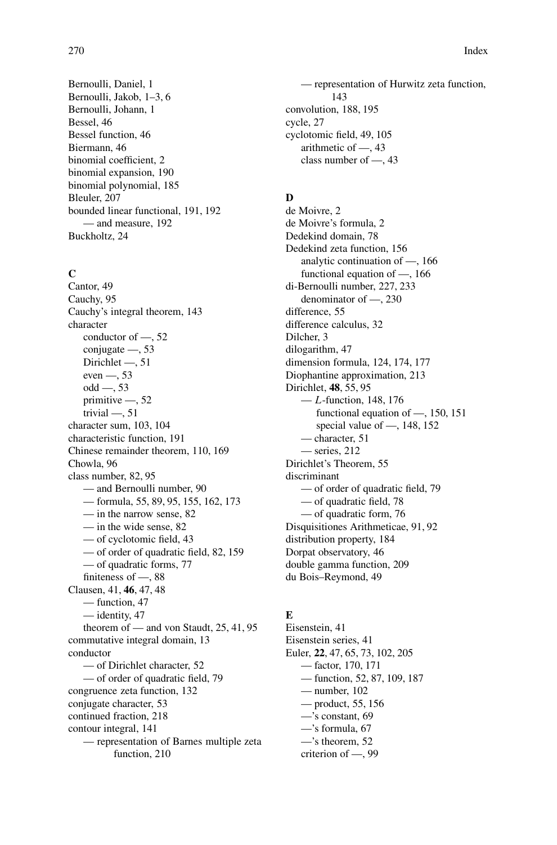Bernoulli, Daniel, 1 Bernoulli, Jakob, 1–3, 6 Bernoulli, Johann, 1 Bessel, 46 Bessel function, 46 Biermann, 46 binomial coefficient, 2 binomial expansion, 190 binomial polynomial, 185 Bleuler, 207 bounded linear functional, 191, 192 — and measure, 192 Buckholtz, 24

#### $\mathbf{C}$

Cantor, 49 Cauchy, 95 Cauchy's integral theorem, 143 character conductor of —, 52 conjugate —, 53 Dirichlet —, 51 even —, 53 odd —, 53 primitive —, 52 trivial —, 51 character sum, 103, 104 characteristic function, 191 Chinese remainder theorem, 110, 169 Chowla, 96 class number, 82, 95 — and Bernoulli number, 90 — formula, 55, 89, 95, 155, 162, 173 — in the narrow sense, 82 — in the wide sense, 82 — of cyclotomic field, 43 — of order of quadratic field, 82, 159 — of quadratic forms, 77 finiteness of —, 88 Clausen, 41, **46**, 47, 48 — function, 47 — identity, 47 theorem of — and von Staudt, 25, 41, 95 commutative integral domain, 13 conductor — of Dirichlet character, 52 — of order of quadratic field, 79 congruence zeta function, 132 conjugate character, 53 continued fraction, 218 contour integral, 141 — representation of Barnes multiple zeta function, 210

— representation of Hurwitz zeta function, 143 convolution, 188, 195 cycle, 27 cyclotomic field, 49, 105 arithmetic of —, 43 class number of —, 43

## **D**

de Moivre, 2 de Moivre's formula, 2 Dedekind domain, 78 Dedekind zeta function, 156 analytic continuation of —, 166 functional equation of —, 166 di-Bernoulli number, 227, 233 denominator of —, 230 difference, 55 difference calculus, 32 Dilcher, 3 dilogarithm, 47 dimension formula, 124, 174, 177 Diophantine approximation, 213 Dirichlet, **48**, 55, 95  $-L$ -function, 148, 176 functional equation of —, 150, 151 special value of —, 148, 152 — character, 51 — series, 212 Dirichlet's Theorem, 55 discriminant — of order of quadratic field, 79 — of quadratic field, 78 — of quadratic form, 76 Disquisitiones Arithmeticae, 91, 92 distribution property, 184 Dorpat observatory, 46 double gamma function, 209 du Bois–Reymond, 49

## **E**

Eisenstein, 41 Eisenstein series, 41 Euler, **22**, 47, 65, 73, 102, 205 — factor, 170, 171 — function, 52, 87, 109, 187 — number, 102 — product, 55, 156 —'s constant, 69 —'s formula, 67 —'s theorem, 52 criterion of —, 99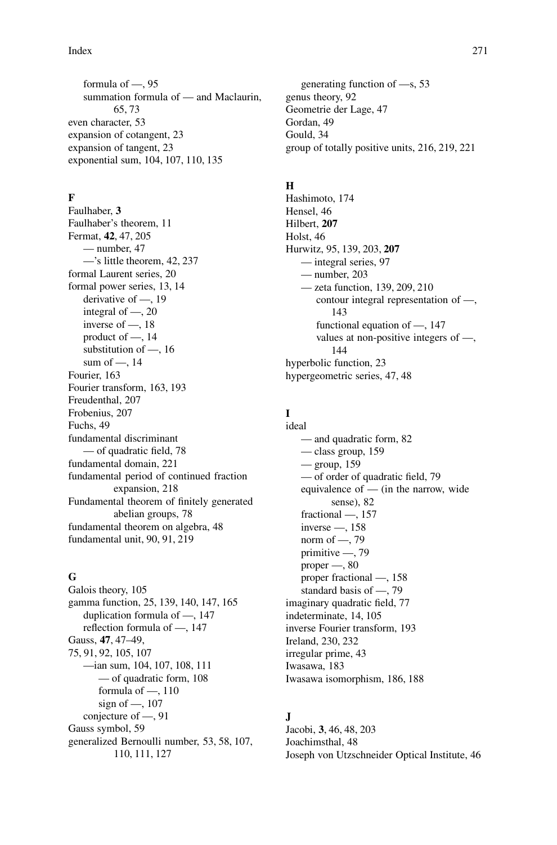### Index 271

formula of —, 95 summation formula of — and Maclaurin, 65, 73 even character, 53 expansion of cotangent, 23 expansion of tangent, 23 exponential sum, 104, 107, 110, 135

## **F**

Faulhaber, **3** Faulhaber's theorem, 11 Fermat, **42**, 47, 205 — number, 47 —'s little theorem, 42, 237 formal Laurent series, 20 formal power series, 13, 14 derivative of —, 19 integral of —, 20 inverse of —, 18 product of —, 14 substitution of —, 16 sum of —, 14 Fourier, 163 Fourier transform, 163, 193 Freudenthal, 207 Frobenius, 207 Fuchs, 49 fundamental discriminant — of quadratic field, 78 fundamental domain, 221 fundamental period of continued fraction expansion, 218 Fundamental theorem of finitely generated abelian groups, 78 fundamental theorem on algebra, 48 fundamental unit, 90, 91, 219

#### **G**

Galois theory, 105 gamma function, 25, 139, 140, 147, 165 duplication formula of —, 147 reflection formula of —, 147 Gauss, **47**, 47–49, 75, 91, 92, 105, 107 —ian sum, 104, 107, 108, 111 — of quadratic form, 108 formula of —, 110 sign of —, 107 conjecture of —, 91 Gauss symbol, 59 generalized Bernoulli number, 53, 58, 107, 110, 111, 127

generating function of —s, 53 genus theory, 92 Geometrie der Lage, 47 Gordan, 49 Gould, 34 group of totally positive units, 216, 219, 221

#### **H**

Hashimoto, 174 Hensel, 46 Hilbert, **207** Holst, 46 Hurwitz, 95, 139, 203, **207** — integral series, 97 — number, 203 — zeta function, 139, 209, 210 contour integral representation of —, 143 functional equation of —, 147 values at non-positive integers of —, 144 hyperbolic function, 23 hypergeometric series, 47, 48

#### **I** ideal

— and quadratic form, 82 — class group, 159 — group, 159 — of order of quadratic field, 79 equivalence of — (in the narrow, wide sense), 82 fractional —, 157 inverse —, 158 norm of —, 79 primitive —, 79 proper —, 80 proper fractional —, 158 standard basis of —, 79 imaginary quadratic field, 77 indeterminate, 14, 105 inverse Fourier transform, 193 Ireland, 230, 232 irregular prime, 43 Iwasawa, 183 Iwasawa isomorphism, 186, 188

## **J**

Jacobi, **3**, 46, 48, 203 Joachimsthal, 48 Joseph von Utzschneider Optical Institute, 46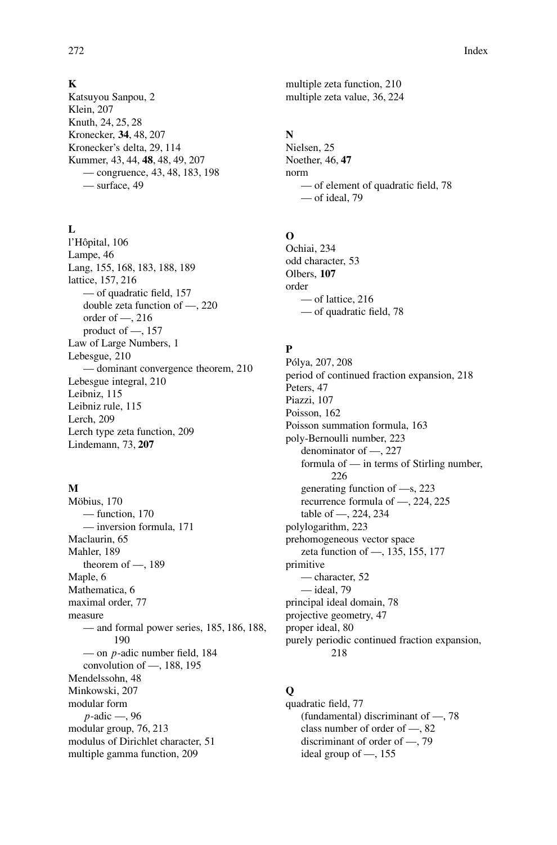#### **K**

Katsuyou Sanpou, 2 Klein, 207 Knuth, 24, 25, 28 Kronecker, **34**, 48, 207 Kronecker's delta, 29, 114 Kummer, 43, 44, **48**, 48, 49, 207 — congruence, 43, 48, 183, 198 — surface, 49

## $\mathbf{L}$

l'Hôpital, 106 Lampe, 46 Lang, 155, 168, 183, 188, 189 lattice, 157, 216 — of quadratic field, 157 double zeta function of —, 220 order of —, 216 product of —, 157 Law of Large Numbers, 1 Lebesgue, 210 — dominant convergence theorem, 210 Lebesgue integral, 210 Leibniz, 115 Leibniz rule, 115 Lerch, 209 Lerch type zeta function, 209 Lindemann, 73, **207**

#### **M**

Möbius, 170 — function, 170 — inversion formula, 171 Maclaurin, 65 Mahler, 189 theorem of  $-$ , 189 Maple, 6 Mathematica, 6 maximal order, 77 measure — and formal power series, 185, 186, 188, 190 — on p-adic number field, 184 convolution of —, 188, 195 Mendelssohn, 48 Minkowski, 207 modular form p-adic —, 96 modular group, 76, 213 modulus of Dirichlet character, 51 multiple gamma function, 209

multiple zeta function, 210 multiple zeta value, 36, 224

## **N**

Nielsen, 25 Noether, 46, **47** norm — of element of quadratic field, 78 — of ideal, 79

## **O**

Ochiai, 234 odd character, 53 Olbers, **107** order — of lattice, 216 — of quadratic field, 78

## **P**

Pólya, 207, 208 period of continued fraction expansion, 218 Peters, 47 Piazzi, 107 Poisson, 162 Poisson summation formula, 163 poly-Bernoulli number, 223 denominator of —, 227 formula of — in terms of Stirling number, 226 generating function of —s, 223 recurrence formula of —, 224, 225 table of —, 224, 234 polylogarithm, 223 prehomogeneous vector space zeta function of —, 135, 155, 177 primitive — character, 52 — ideal, 79 principal ideal domain, 78 projective geometry, 47 proper ideal, 80 purely periodic continued fraction expansion, 218

## **Q**

quadratic field, 77 (fundamental) discriminant of —, 78 class number of order of —, 82 discriminant of order of —, 79 ideal group of —, 155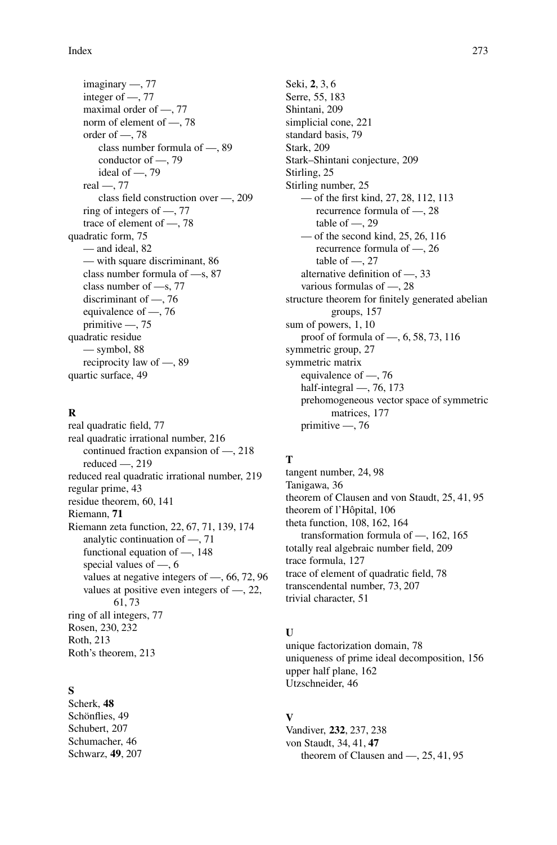### Index 273

imaginary —, 77 integer of —, 77 maximal order of —, 77 norm of element of —, 78 order of —, 78 class number formula of —, 89 conductor of —, 79 ideal of —, 79 real —, 77 class field construction over —, 209 ring of integers of —, 77 trace of element of —, 78 quadratic form, 75 — and ideal, 82 — with square discriminant, 86 class number formula of —s, 87 class number of —s, 77 discriminant of —, 76 equivalence of —, 76 primitive —, 75 quadratic residue — symbol, 88 reciprocity law of —, 89 quartic surface, 49

## **R**

real quadratic field, 77 real quadratic irrational number, 216 continued fraction expansion of —, 218 reduced —, 219 reduced real quadratic irrational number, 219 regular prime, 43 residue theorem, 60, 141 Riemann, **71** Riemann zeta function, 22, 67, 71, 139, 174 analytic continuation of —, 71 functional equation of —, 148 special values of —, 6 values at negative integers of —, 66, 72, 96 values at positive even integers of —, 22, 61, 73 ring of all integers, 77 Rosen, 230, 232 Roth, 213 Roth's theorem, 213

## **S**

Scherk, **48** Schönflies, 49 Schubert, 207 Schumacher, 46 Schwarz, **49**, 207 Seki, **2**, 3, 6 Serre, 55, 183 Shintani, 209 simplicial cone, 221 standard basis, 79 Stark, 209 Stark–Shintani conjecture, 209 Stirling, 25 Stirling number, 25 — of the first kind, 27, 28, 112, 113 recurrence formula of —, 28 table of  $-$ , 29 — of the second kind, 25, 26, 116 recurrence formula of —, 26 table of  $-$ , 27 alternative definition of —, 33 various formulas of —, 28 structure theorem for finitely generated abelian groups, 157 sum of powers, 1, 10 proof of formula of —, 6, 58, 73, 116 symmetric group, 27 symmetric matrix equivalence of —, 76 half-integral —, 76, 173 prehomogeneous vector space of symmetric matrices, 177 primitive —, 76

## **T**

tangent number, 24, 98 Tanigawa, 36 theorem of Clausen and von Staudt, 25, 41, 95 theorem of l'Hôpital, 106 theta function, 108, 162, 164 transformation formula of —, 162, 165 totally real algebraic number field, 209 trace formula, 127 trace of element of quadratic field, 78 transcendental number, 73, 207 trivial character, 51

## **U**

unique factorization domain, 78 uniqueness of prime ideal decomposition, 156 upper half plane, 162 Utzschneider, 46

## **V**

Vandiver, **232**, 237, 238 von Staudt, 34, 41, **47** theorem of Clausen and —, 25, 41, 95